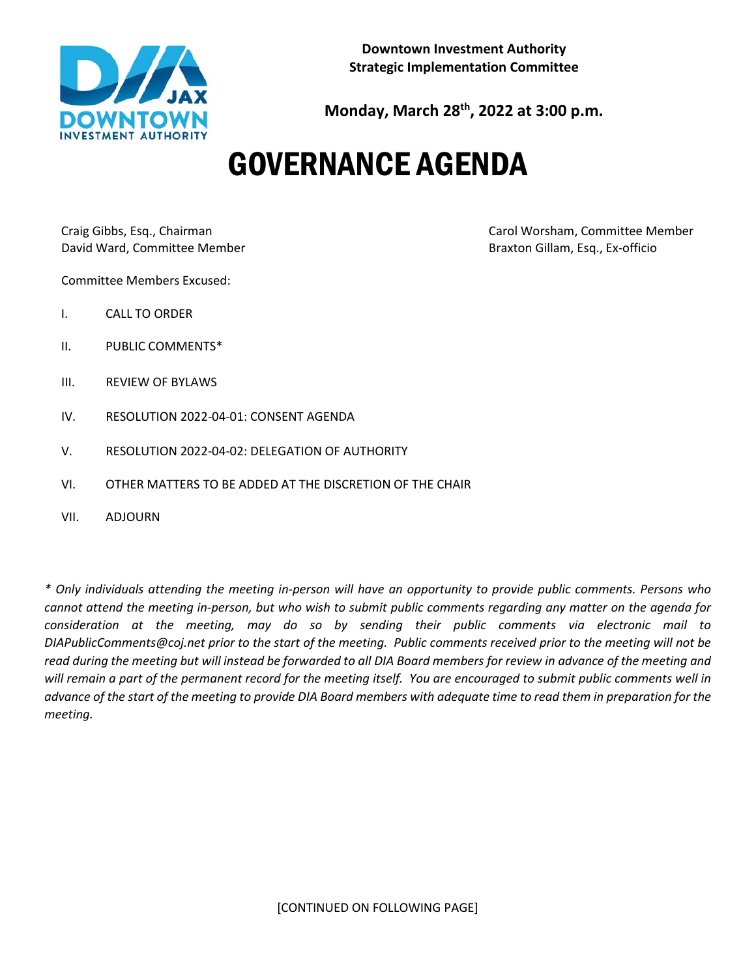

**Monday, March 28th, 2022 at 3:00 p.m.**

# GOVERNANCE AGENDA

David Ward, Committee Member Braxton Gillam, Esq., Ex-officio

Craig Gibbs, Esq., Chairman Carol Worsham, Committee Member

Committee Members Excused:

- I. CALL TO ORDER
- II. PUBLIC COMMENTS\*
- III. REVIEW OF BYLAWS
- IV. RESOLUTION 2022-04-01: CONSENT AGENDA
- V. RESOLUTION 2022-04-02: DELEGATION OF AUTHORITY
- VI. OTHER MATTERS TO BE ADDED AT THE DISCRETION OF THE CHAIR
- VII. ADJOURN

*\* Only individuals attending the meeting in-person will have an opportunity to provide public comments. Persons who cannot attend the meeting in-person, but who wish to submit public comments regarding any matter on the agenda for consideration at the meeting, may do so by sending their public comments via electronic mail to DIAPublicComments@coj.net prior to the start of the meeting. Public comments received prior to the meeting will not be read during the meeting but will instead be forwarded to all DIA Board members for review in advance of the meeting and will remain a part of the permanent record for the meeting itself. You are encouraged to submit public comments well in advance of the start of the meeting to provide DIA Board members with adequate time to read them in preparation for the meeting.*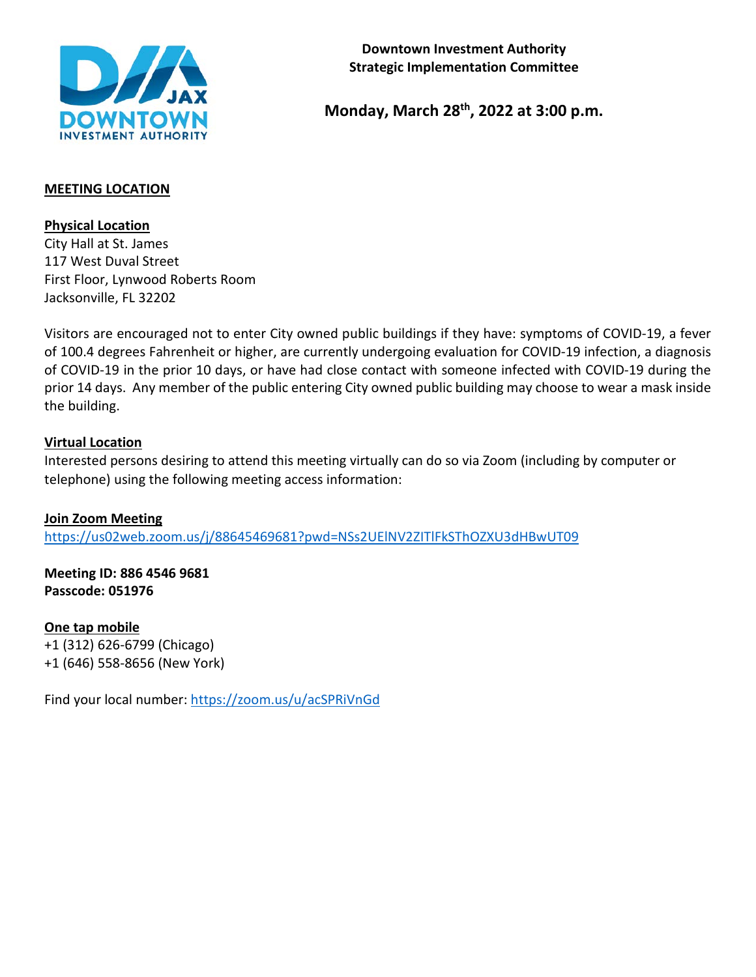

**Monday, March 28th, 2022 at 3:00 p.m.**

## **MEETING LOCATION**

**Physical Location**

City Hall at St. James 117 West Duval Street First Floor, Lynwood Roberts Room Jacksonville, FL 32202

Visitors are encouraged not to enter City owned public buildings if they have: symptoms of COVID-19, a fever of 100.4 degrees Fahrenheit or higher, are currently undergoing evaluation for COVID-19 infection, a diagnosis of COVID-19 in the prior 10 days, or have had close contact with someone infected with COVID-19 during the prior 14 days. Any member of the public entering City owned public building may choose to wear a mask inside the building.

## **Virtual Location**

Interested persons desiring to attend this meeting virtually can do so via Zoom (including by computer or telephone) using the following meeting access information:

**Join Zoom Meeting** <https://us02web.zoom.us/j/88645469681?pwd=NSs2UElNV2ZITlFkSThOZXU3dHBwUT09>

**Meeting ID: 886 4546 9681 Passcode: 051976**

**One tap mobile** +1 (312) 626-6799 (Chicago) +1 (646) 558-8656 (New York)

Find your local number:<https://zoom.us/u/acSPRiVnGd>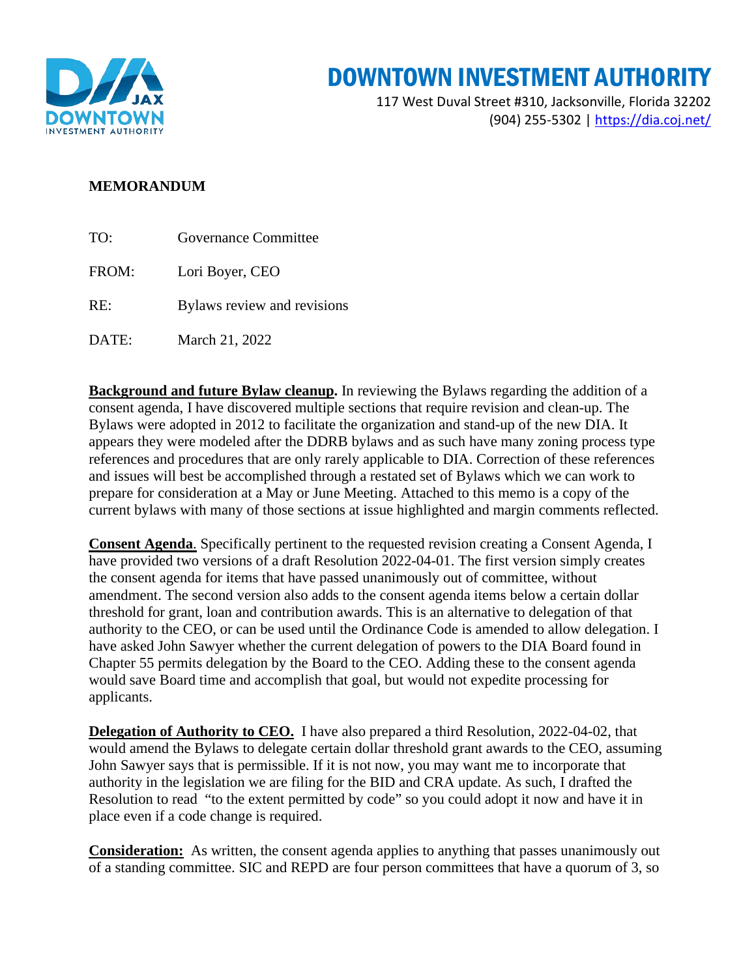

## DOWNTOWN INVESTMENT AUTHORITY

117 West Duval Street #310, Jacksonville, Florida 32202 (904) 255-5302 |<https://dia.coj.net/>

### **MEMORANDUM**

| TO:    | Governance Committee        |  |  |
|--------|-----------------------------|--|--|
| FROM:  | Lori Boyer, CEO             |  |  |
| $RE^+$ | Bylaws review and revisions |  |  |
| DATE:  | March 21, 2022              |  |  |

**Background and future Bylaw cleanup.** In reviewing the Bylaws regarding the addition of a consent agenda, I have discovered multiple sections that require revision and clean-up. The Bylaws were adopted in 2012 to facilitate the organization and stand-up of the new DIA. It appears they were modeled after the DDRB bylaws and as such have many zoning process type references and procedures that are only rarely applicable to DIA. Correction of these references and issues will best be accomplished through a restated set of Bylaws which we can work to prepare for consideration at a May or June Meeting. Attached to this memo is a copy of the current bylaws with many of those sections at issue highlighted and margin comments reflected.

**Consent Agenda**. Specifically pertinent to the requested revision creating a Consent Agenda, I have provided two versions of a draft Resolution 2022-04-01. The first version simply creates the consent agenda for items that have passed unanimously out of committee, without amendment. The second version also adds to the consent agenda items below a certain dollar threshold for grant, loan and contribution awards. This is an alternative to delegation of that authority to the CEO, or can be used until the Ordinance Code is amended to allow delegation. I have asked John Sawyer whether the current delegation of powers to the DIA Board found in Chapter 55 permits delegation by the Board to the CEO. Adding these to the consent agenda would save Board time and accomplish that goal, but would not expedite processing for applicants.

**Delegation of Authority to CEO.** I have also prepared a third Resolution, 2022-04-02, that would amend the Bylaws to delegate certain dollar threshold grant awards to the CEO, assuming John Sawyer says that is permissible. If it is not now, you may want me to incorporate that authority in the legislation we are filing for the BID and CRA update. As such, I drafted the Resolution to read "to the extent permitted by code" so you could adopt it now and have it in place even if a code change is required.

**Consideration:** As written, the consent agenda applies to anything that passes unanimously out of a standing committee. SIC and REPD are four person committees that have a quorum of 3, so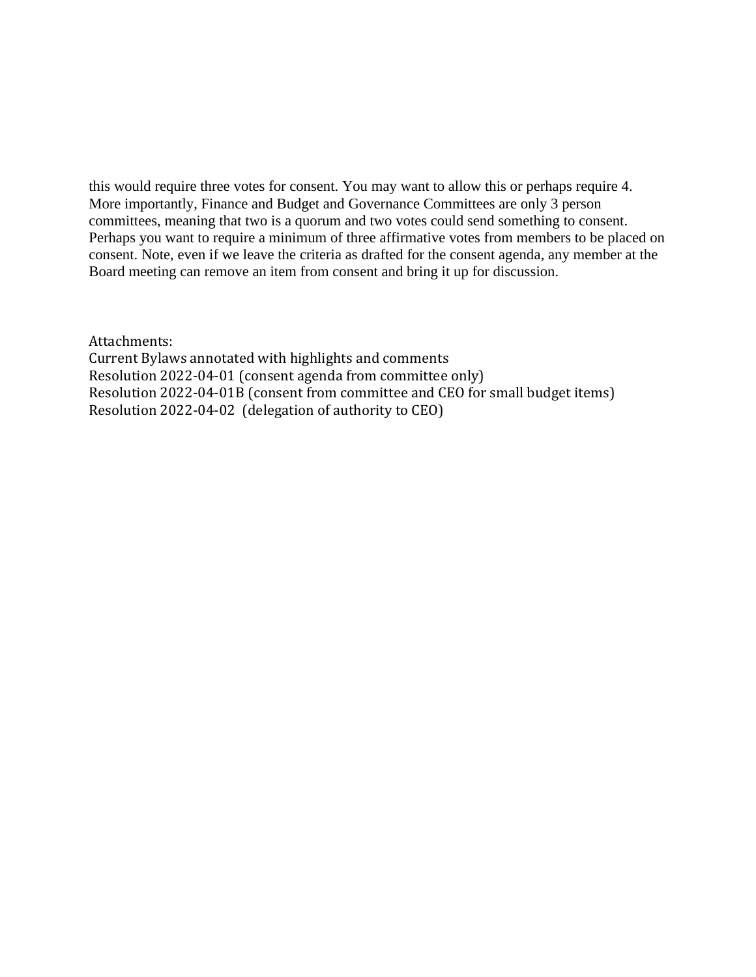this would require three votes for consent. You may want to allow this or perhaps require 4. More importantly, Finance and Budget and Governance Committees are only 3 person committees, meaning that two is a quorum and two votes could send something to consent. Perhaps you want to require a minimum of three affirmative votes from members to be placed on consent. Note, even if we leave the criteria as drafted for the consent agenda, any member at the Board meeting can remove an item from consent and bring it up for discussion.

Attachments:

Current Bylaws annotated with highlights and comments Resolution 2022-04-01 (consent agenda from committee only) Resolution 2022-04-01B (consent from committee and CEO for small budget items) Resolution 2022-04-02 (delegation of authority to CEO)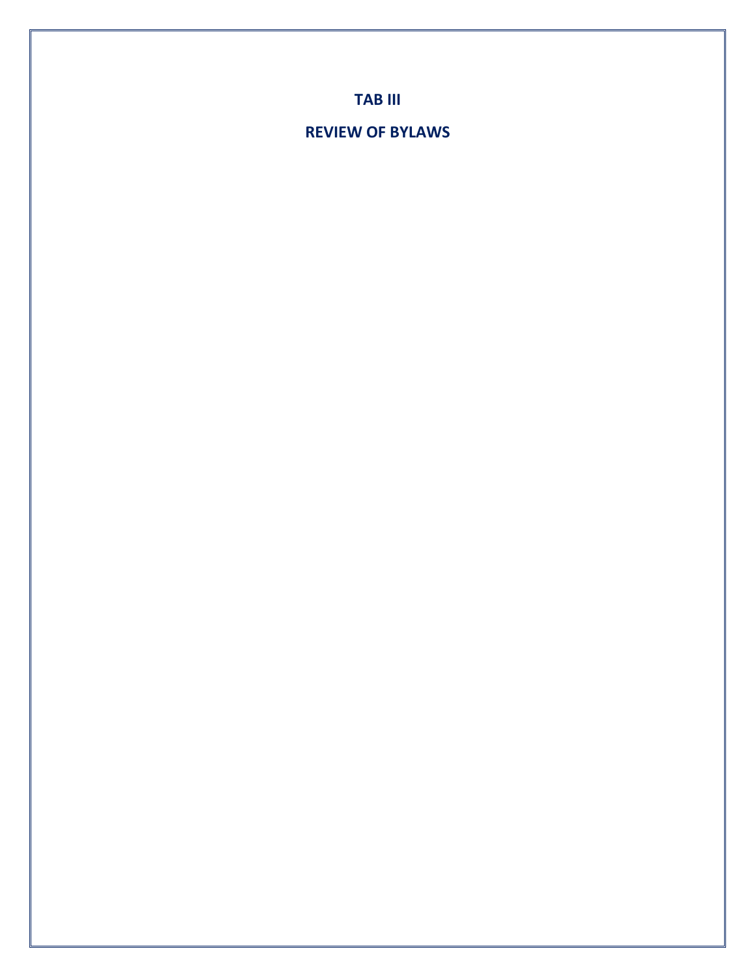**TAB III**

## **REVIEW OF BYLAWS**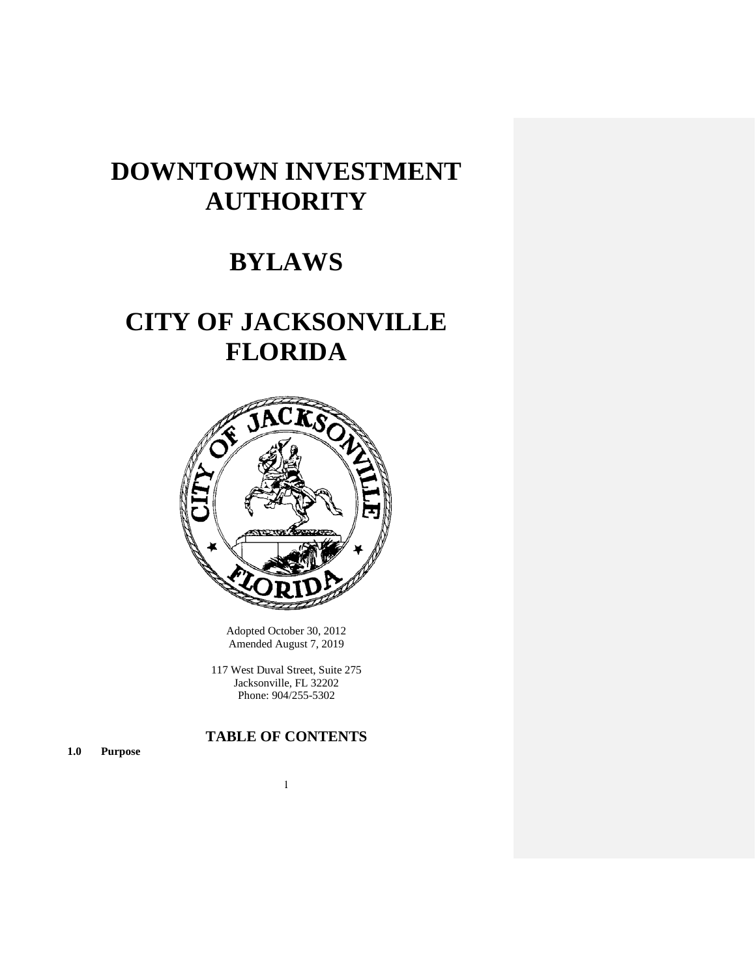## **DOWNTOWN INVESTMENT AUTHORITY**

## **BYLAWS**

## **CITY OF JACKSONVILLE FLORIDA**



Adopted October 30, 2012 Amended August 7, 2019

117 West Duval Street, Suite 275 Jacksonville, FL 32202 Phone: 904/255-5302

## **TABLE OF CONTENTS**

**1.0 Purpose**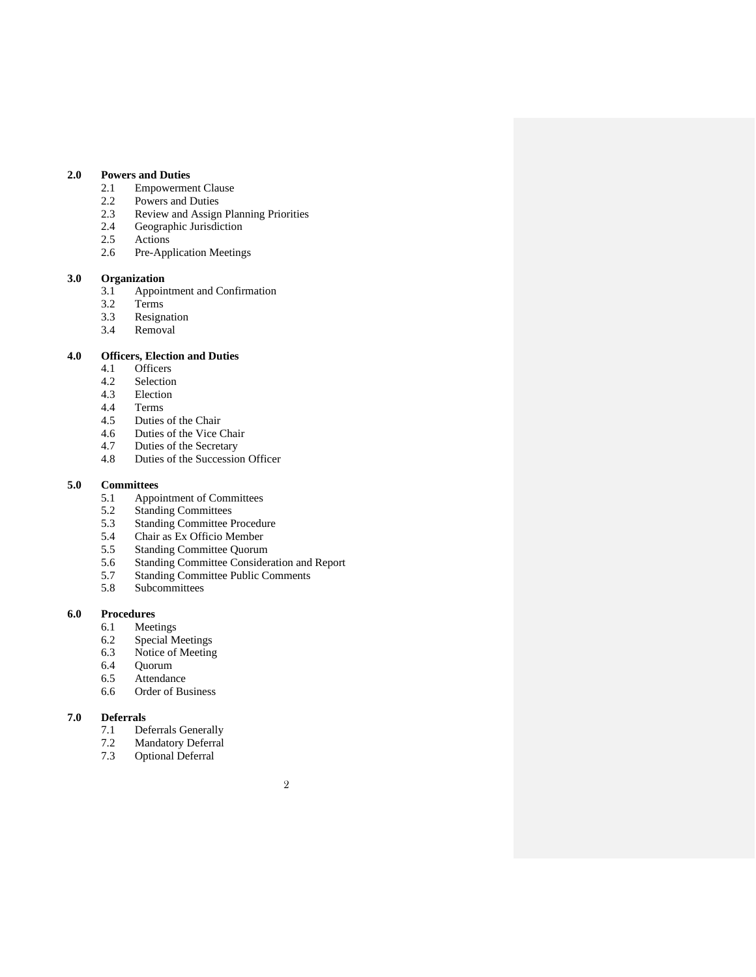## **2.0 Powers and Duties**

- 2.1 Empowerment Clause<br>2.2 Powers and Duties
- 
- 2.2 Powers and Duties<br>2.3 Review and Assign 2.3 Review and Assign Planning Priorities<br>2.4 Geographic Jurisdiction
- 2.4 Geographic Jurisdiction<br>2.5 Actions
- 2.5 Actions<br>2.6 Pre-App
- Pre-Application Meetings

## **3.0 Organization**

- 3.1 Appointment and Confirmation<br>3.2 Terms
- 3.2 Terms<br>3.3 Resign
- 3.3 Resignation<br>3.4 Removal
- Removal

#### **4.0 Officers, Election and Duties**

- 4.1 Officers<br>4.2 Selection
- 4.2 Selection<br>4.3 Election
- 4.3 Election<br>4.4 Terms
- 4.4 Terms<br>4.5 Duties
- 4.5 Duties of the Chair<br>4.6 Duties of the Vice 0
- 4.6 Duties of the Vice Chair<br>4.7 Duties of the Secretary
- 4.7 Duties of the Secretary<br>4.8 Duties of the Succession
- Duties of the Succession Officer

#### **5.0 Committees**

- 5.1 Appointment of Committees
- 5.2 Standing Committees
- 5.3 Standing Committee Procedure
- 5.4 Chair as Ex Officio Member
- 5.5 Standing Committee Quorum
- 5.6 Standing Committee Consideration and Report
- 5.7 Standing Committee Public Comments
- 5.8 Subcommittees

#### **6.0 Procedures**

- 6.1 Meetings
- 6.2 Special Meetings<br>6.3 Notice of Meeting
- 6.3 Notice of Meeting<br>6.4 Quorum
- 6.4 Quorum<br>6.5 Attendan
- 
- 6.5 Attendance<br>6.6 Order of Bu Order of Business

## **7.0 Deferrals**

- 7.1 Deferrals Generally<br>7.2 Mandatory Deferral
- 7.2 Mandatory Deferral<br>7.3 Optional Deferral
- Optional Deferral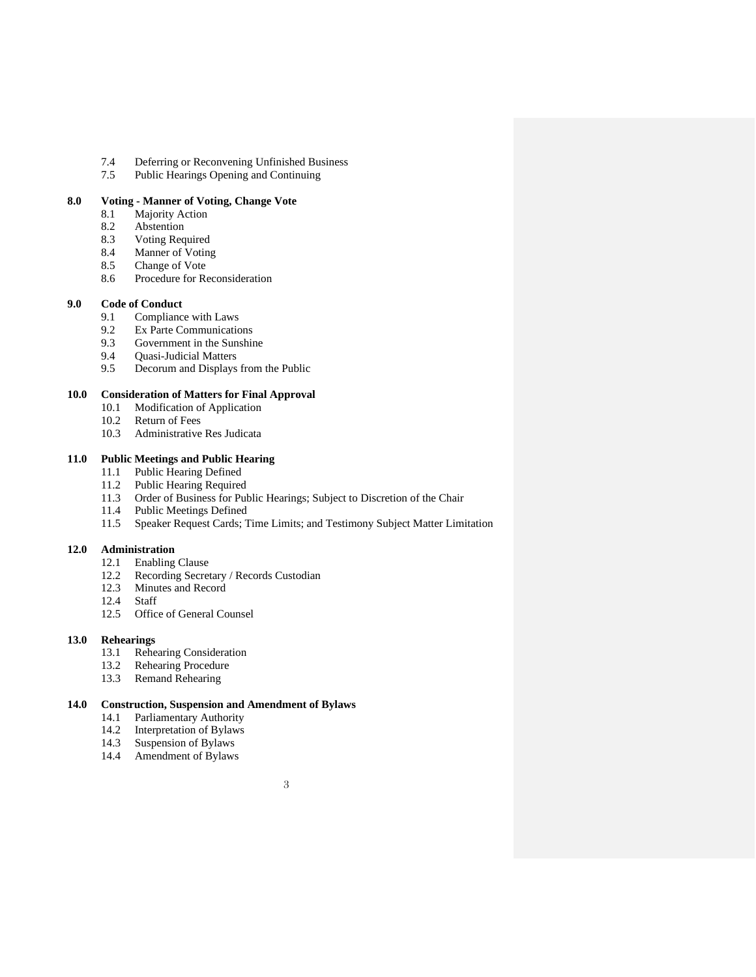- 7.4 Deferring or Reconvening Unfinished Business<br>7.5 Public Hearings Opening and Continuing
- Public Hearings Opening and Continuing

## **8.0 Voting - Manner of Voting, Change Vote**

- **Majority Action**
- 8.2 Abstention<br>8.3 Voting Req
- 8.3 Voting Required<br>8.4 Manner of Voting
- 8.4 Manner of Voting<br>8.5 Change of Vote
- 8.5 Change of Vote<br>8.6 Procedure for Re
- Procedure for Reconsideration

#### **9.0 Code of Conduct**

- 9.1 Compliance with Laws
- 9.2 Ex Parte Communications<br>9.3 Government in the Sunshin
- Government in the Sunshine
- 9.4 Quasi-Judicial Matters<br>9.5 Decorum and Displays
- Decorum and Displays from the Public

## **10.0 Consideration of Matters for Final Approval**

- Modification of Application
- 10.2 Return of Fees
- 10.3 Administrative Res Judicata

#### **11.0 Public Meetings and Public Hearing**

- 11.1 Public Hearing Defined
- 11.2 Public Hearing Required
- 11.3 Order of Business for Public Hearings; Subject to Discretion of the Chair
- 11.4 Public Meetings Defined
- 11.5 Speaker Request Cards; Time Limits; and Testimony Subject Matter Limitation

#### **12.0 Administration**

- 12.1 Enabling Clause
- 12.2 Recording Secretary / Records Custodian
- 12.3 Minutes and Record
- 12.4 Staff
- 12.5 Office of General Counsel

#### **13.0 Rehearings**

- 13.1 Rehearing Consideration
- 13.2 Rehearing Procedure
- 13.3 Remand Rehearing

#### **14.0 Construction, Suspension and Amendment of Bylaws**

- 14.1 Parliamentary Authority
- 14.2 Interpretation of Bylaws<br>14.3 Suspension of Bylaws
- Suspension of Bylaws
- 14.4 Amendment of Bylaws

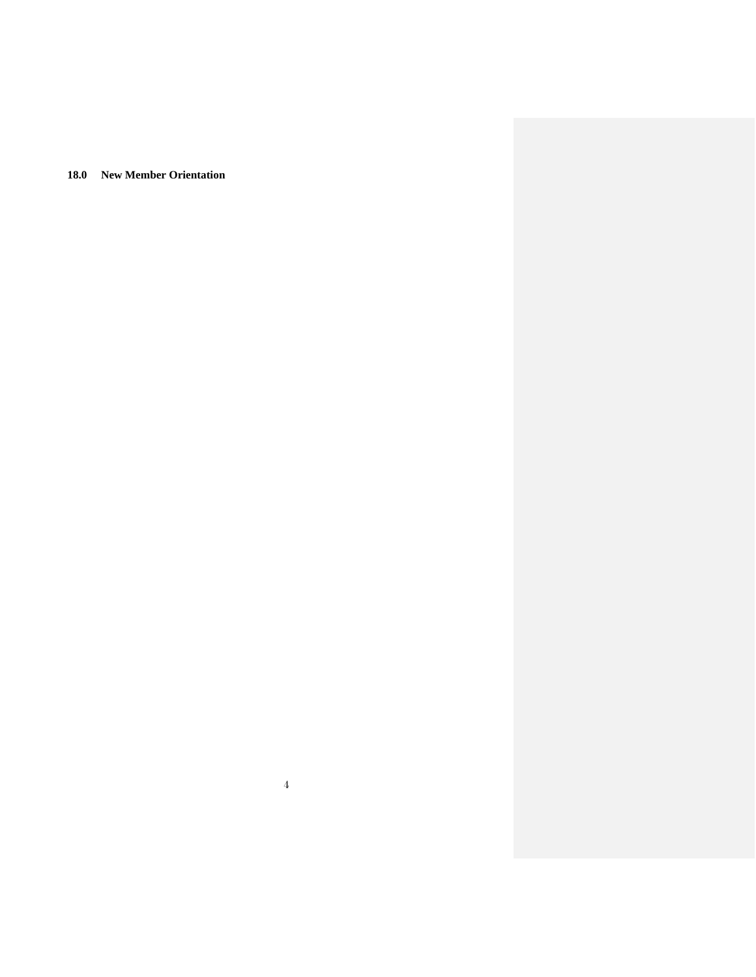**18.0 New Member Orientation**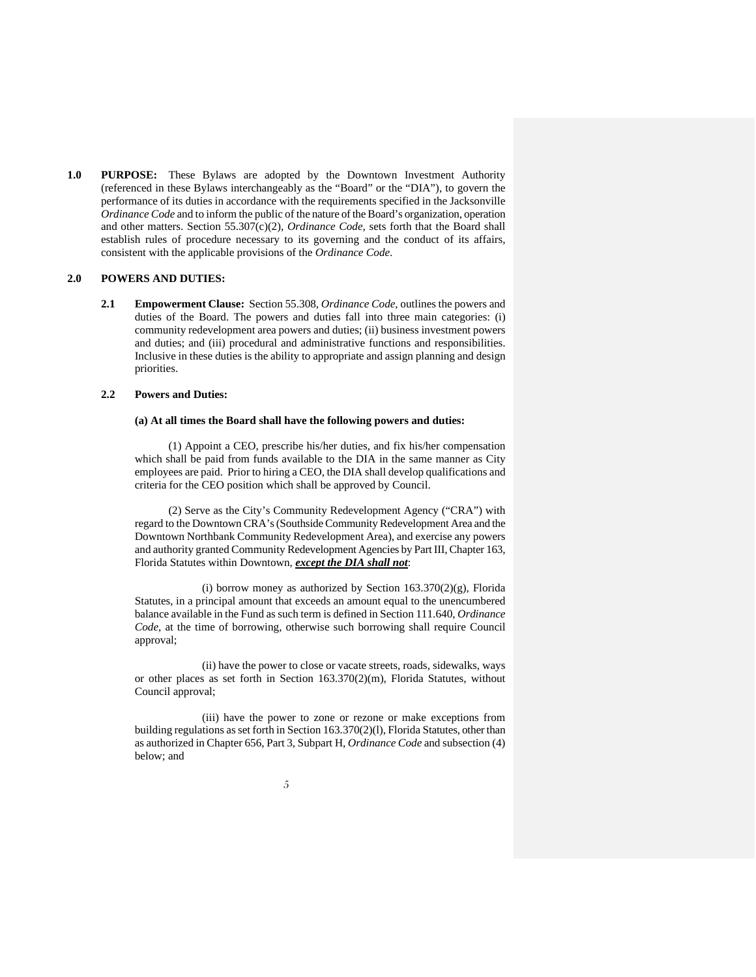**1.0 PURPOSE:** These Bylaws are adopted by the Downtown Investment Authority (referenced in these Bylaws interchangeably as the "Board" or the "DIA"), to govern the performance of its duties in accordance with the requirements specified in the Jacksonville *Ordinance Code* and to inform the public of the nature of the Board's organization, operation and other matters. Section 55.307(c)(2), *Ordinance Code*, sets forth that the Board shall establish rules of procedure necessary to its governing and the conduct of its affairs, consistent with the applicable provisions of the *Ordinance Code*.

#### **2.0 POWERS AND DUTIES:**

**2.1 Empowerment Clause:** Section 55.308, *Ordinance Code*, outlines the powers and duties of the Board. The powers and duties fall into three main categories: (i) community redevelopment area powers and duties; (ii) business investment powers and duties; and (iii) procedural and administrative functions and responsibilities. Inclusive in these duties is the ability to appropriate and assign planning and design priorities.

#### **2.2 Powers and Duties:**

#### **(a) At all times the Board shall have the following powers and duties:**

(1) Appoint a CEO, prescribe his/her duties, and fix his/her compensation which shall be paid from funds available to the DIA in the same manner as City employees are paid. Prior to hiring a CEO, the DIA shall develop qualifications and criteria for the CEO position which shall be approved by Council.

(2) Serve as the City's Community Redevelopment Agency ("CRA") with regard to the Downtown CRA's (Southside Community Redevelopment Area and the Downtown Northbank Community Redevelopment Area), and exercise any powers and authority granted Community Redevelopment Agencies by Part III, Chapter 163, Florida Statutes within Downtown, *except the DIA shall not*:

(i) borrow money as authorized by Section 163.370(2)(g), Florida Statutes, in a principal amount that exceeds an amount equal to the unencumbered balance available in the Fund as such term is defined in Section 111.640, *Ordinance Code*, at the time of borrowing, otherwise such borrowing shall require Council approval;

(ii) have the power to close or vacate streets, roads, sidewalks, ways or other places as set forth in Section 163.370(2)(m), Florida Statutes, without Council approval;

(iii) have the power to zone or rezone or make exceptions from building regulations as set forth in Section 163.370(2)(l), Florida Statutes, other than as authorized in Chapter 656, Part 3, Subpart H, *Ordinance Code* and subsection (4) below; and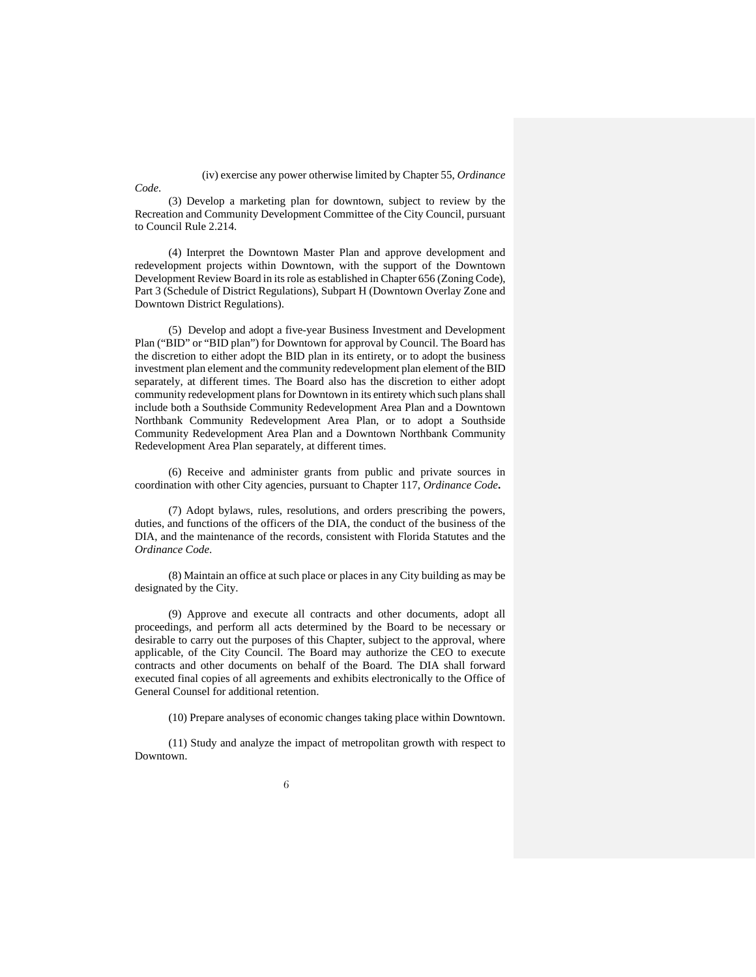(iv) exercise any power otherwise limited by Chapter 55, *Ordinance* 

(3) Develop a marketing plan for downtown, subject to review by the Recreation and Community Development Committee of the City Council, pursuant to Council Rule 2.214.

*Code*.

(4) Interpret the Downtown Master Plan and approve development and redevelopment projects within Downtown, with the support of the Downtown Development Review Board in its role as established in Chapter 656 (Zoning Code), Part 3 (Schedule of District Regulations), Subpart H (Downtown Overlay Zone and Downtown District Regulations).

(5) Develop and adopt a five-year Business Investment and Development Plan ("BID" or "BID plan") for Downtown for approval by Council. The Board has the discretion to either adopt the BID plan in its entirety, or to adopt the business investment plan element and the community redevelopment plan element of the BID separately, at different times. The Board also has the discretion to either adopt community redevelopment plans for Downtown in its entirety which such plans shall include both a Southside Community Redevelopment Area Plan and a Downtown Northbank Community Redevelopment Area Plan, or to adopt a Southside Community Redevelopment Area Plan and a Downtown Northbank Community Redevelopment Area Plan separately, at different times.

(6) Receive and administer grants from public and private sources in coordination with other City agencies, pursuant to Chapter 117, *Ordinance Code***.**

(7) Adopt bylaws, rules, resolutions, and orders prescribing the powers, duties, and functions of the officers of the DIA, the conduct of the business of the DIA, and the maintenance of the records, consistent with Florida Statutes and the *Ordinance Code*.

(8) Maintain an office at such place or places in any City building as may be designated by the City.

(9) Approve and execute all contracts and other documents, adopt all proceedings, and perform all acts determined by the Board to be necessary or desirable to carry out the purposes of this Chapter, subject to the approval, where applicable, of the City Council. The Board may authorize the CEO to execute contracts and other documents on behalf of the Board. The DIA shall forward executed final copies of all agreements and exhibits electronically to the Office of General Counsel for additional retention.

(10) Prepare analyses of economic changes taking place within Downtown.

(11) Study and analyze the impact of metropolitan growth with respect to Downtown.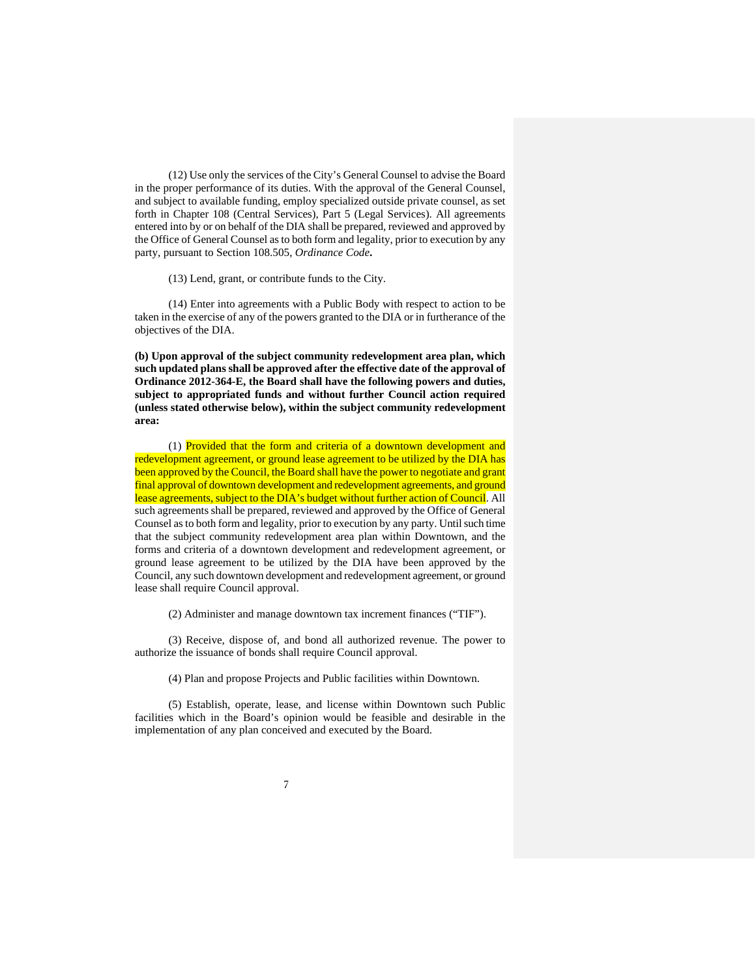(12) Use only the services of the City's General Counsel to advise the Board in the proper performance of its duties. With the approval of the General Counsel, and subject to available funding, employ specialized outside private counsel, as set forth in Chapter 108 (Central Services), Part 5 (Legal Services). All agreements entered into by or on behalf of the DIA shall be prepared, reviewed and approved by the Office of General Counsel as to both form and legality, prior to execution by any party, pursuant to Section 108.505, *Ordinance Code***.**

(13) Lend, grant, or contribute funds to the City.

(14) Enter into agreements with a Public Body with respect to action to be taken in the exercise of any of the powers granted to the DIA or in furtherance of the objectives of the DIA.

**(b) Upon approval of the subject community redevelopment area plan, which such updated plans shall be approved after the effective date of the approval of Ordinance 2012-364-E, the Board shall have the following powers and duties, subject to appropriated funds and without further Council action required (unless stated otherwise below), within the subject community redevelopment area:**

(1) Provided that the form and criteria of a downtown development and redevelopment agreement, or ground lease agreement to be utilized by the DIA has been approved by the Council, the Board shall have the power to negotiate and grant final approval of downtown development and redevelopment agreements, and ground lease agreements, subject to the DIA's budget without further action of Council. All such agreements shall be prepared, reviewed and approved by the Office of General Counsel as to both form and legality, prior to execution by any party. Until such time that the subject community redevelopment area plan within Downtown, and the forms and criteria of a downtown development and redevelopment agreement, or ground lease agreement to be utilized by the DIA have been approved by the Council, any such downtown development and redevelopment agreement, or ground lease shall require Council approval.

(2) Administer and manage downtown tax increment finances ("TIF").

(3) Receive, dispose of, and bond all authorized revenue. The power to authorize the issuance of bonds shall require Council approval.

(4) Plan and propose Projects and Public facilities within Downtown.

(5) Establish, operate, lease, and license within Downtown such Public facilities which in the Board's opinion would be feasible and desirable in the implementation of any plan conceived and executed by the Board.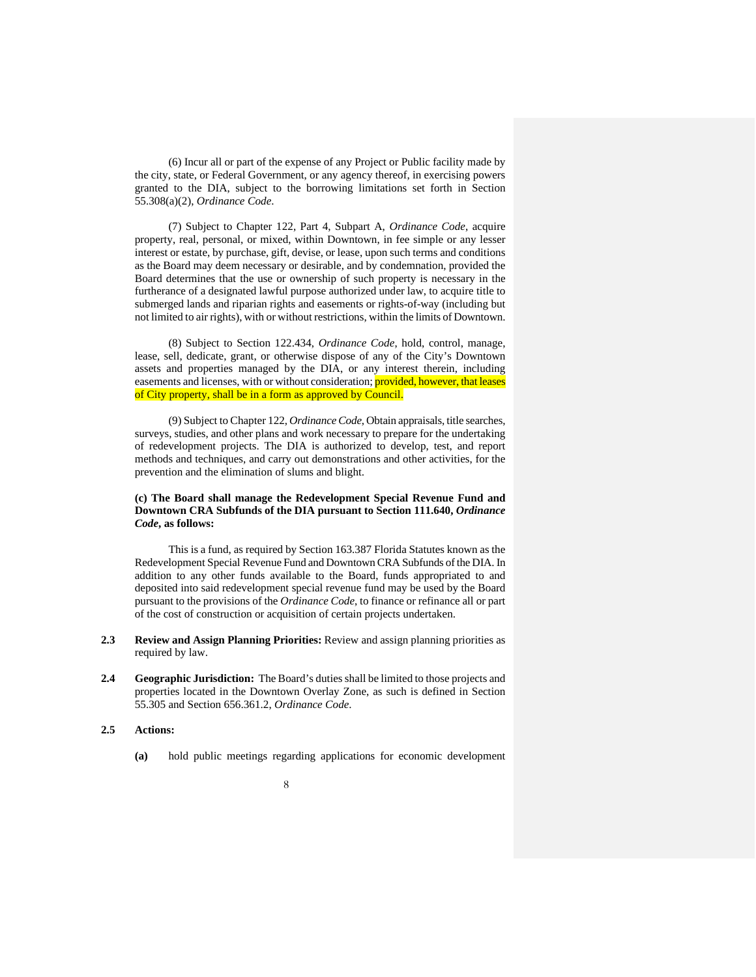(6) Incur all or part of the expense of any Project or Public facility made by the city, state, or Federal Government, or any agency thereof, in exercising powers granted to the DIA, subject to the borrowing limitations set forth in Section 55.308(a)(2), *Ordinance Code*.

(7) Subject to Chapter 122, Part 4, Subpart A, *Ordinance Code*, acquire property, real, personal, or mixed, within Downtown, in fee simple or any lesser interest or estate, by purchase, gift, devise, or lease, upon such terms and conditions as the Board may deem necessary or desirable, and by condemnation, provided the Board determines that the use or ownership of such property is necessary in the furtherance of a designated lawful purpose authorized under law, to acquire title to submerged lands and riparian rights and easements or rights-of-way (including but not limited to air rights), with or without restrictions, within the limits of Downtown.

(8) Subject to Section 122.434, *Ordinance Code*, hold, control, manage, lease, sell, dedicate, grant, or otherwise dispose of any of the City's Downtown assets and properties managed by the DIA, or any interest therein, including easements and licenses, with or without consideration; provided, however, that leases of City property, shall be in a form as approved by Council.

(9) Subject to Chapter 122, *Ordinance Code*, Obtain appraisals, title searches, surveys, studies, and other plans and work necessary to prepare for the undertaking of redevelopment projects. The DIA is authorized to develop, test, and report methods and techniques, and carry out demonstrations and other activities, for the prevention and the elimination of slums and blight.

#### **(c) The Board shall manage the Redevelopment Special Revenue Fund and Downtown CRA Subfunds of the DIA pursuant to Section 111.640,** *Ordinance Code***, as follows:**

This is a fund, as required by Section 163.387 Florida Statutes known as the Redevelopment Special Revenue Fund and Downtown CRA Subfunds of the DIA. In addition to any other funds available to the Board, funds appropriated to and deposited into said redevelopment special revenue fund may be used by the Board pursuant to the provisions of the *Ordinance Code*, to finance or refinance all or part of the cost of construction or acquisition of certain projects undertaken.

- **2.3 Review and Assign Planning Priorities:** Review and assign planning priorities as required by law.
- **2.4 Geographic Jurisdiction:** The Board's duties shall be limited to those projects and properties located in the Downtown Overlay Zone, as such is defined in Section 55.305 and Section 656.361.2, *Ordinance Code*.

#### **2.5 Actions:**

- **(a)** hold public meetings regarding applications for economic development
	- 8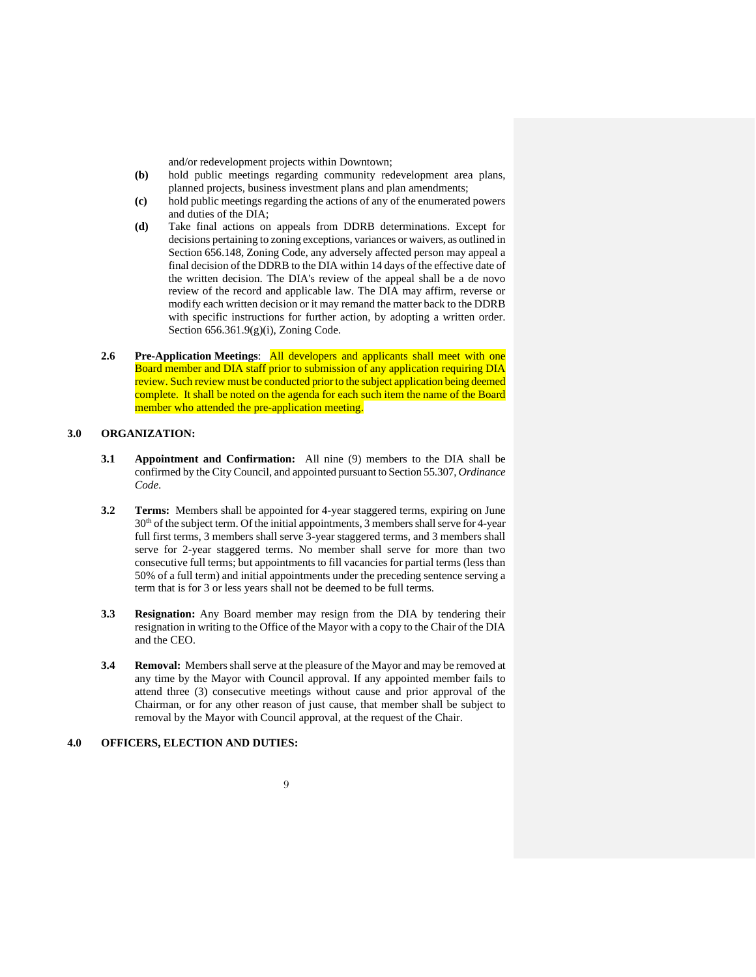and/or redevelopment projects within Downtown;

- **(b)** hold public meetings regarding community redevelopment area plans, planned projects, business investment plans and plan amendments;
- **(c)** hold public meetings regarding the actions of any of the enumerated powers and duties of the DIA;
- **(d)** Take final actions on appeals from DDRB determinations. Except for decisions pertaining to zoning exceptions, variances or waivers, as outlined in Section 656.148, Zoning Code, any adversely affected person may appeal a final decision of the DDRB to the DIA within 14 days of the effective date of the written decision. The DIA's review of the appeal shall be a de novo review of the record and applicable law. The DIA may affirm, reverse or modify each written decision or it may remand the matter back to the DDRB with specific instructions for further action, by adopting a written order. Section 656.361.9(g)(i), Zoning Code.
- **2.6 Pre-Application Meetings**: All developers and applicants shall meet with one Board member and DIA staff prior to submission of any application requiring DIA review. Such review must be conducted prior to the subject application being deemed complete. It shall be noted on the agenda for each such item the name of the Board member who attended the pre-application meeting.

#### **3.0 ORGANIZATION:**

- **3.1 Appointment and Confirmation:** All nine (9) members to the DIA shall be confirmed by the City Council, and appointed pursuant to Section 55.307, *Ordinance Code*.
- **3.2 Terms:** Members shall be appointed for 4-year staggered terms, expiring on June  $30<sup>th</sup>$  of the subject term. Of the initial appointments, 3 members shall serve for 4-year full first terms, 3 members shall serve 3-year staggered terms, and 3 members shall serve for 2-year staggered terms. No member shall serve for more than two consecutive full terms; but appointments to fill vacancies for partial terms (less than 50% of a full term) and initial appointments under the preceding sentence serving a term that is for 3 or less years shall not be deemed to be full terms.
- **3.3 Resignation:** Any Board member may resign from the DIA by tendering their resignation in writing to the Office of the Mayor with a copy to the Chair of the DIA and the CEO.
- **3.4 Removal:** Members shall serve at the pleasure of the Mayor and may be removed at any time by the Mayor with Council approval. If any appointed member fails to attend three (3) consecutive meetings without cause and prior approval of the Chairman, or for any other reason of just cause, that member shall be subject to removal by the Mayor with Council approval, at the request of the Chair.

#### **4.0 OFFICERS, ELECTION AND DUTIES:**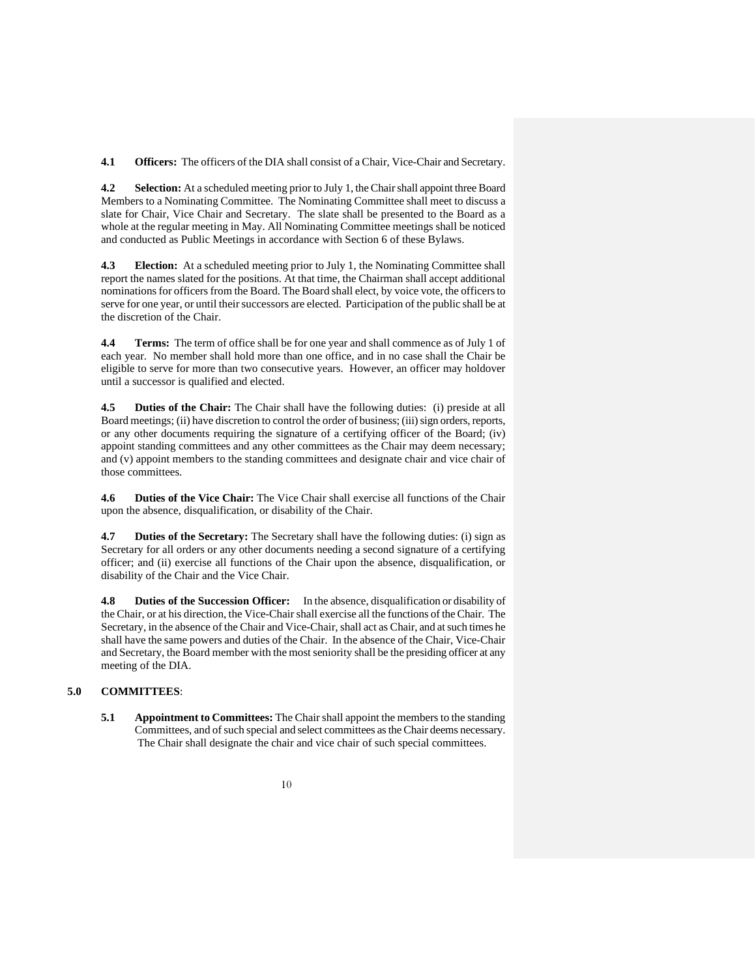**4.1 Officers:** The officers of the DIA shall consist of a Chair, Vice-Chair and Secretary.

**4.2 Selection:** At a scheduled meeting prior to July 1, the Chair shall appoint three Board Members to a Nominating Committee. The Nominating Committee shall meet to discuss a slate for Chair, Vice Chair and Secretary. The slate shall be presented to the Board as a whole at the regular meeting in May. All Nominating Committee meetings shall be noticed and conducted as Public Meetings in accordance with Section 6 of these Bylaws.

**4.3 Election:** At a scheduled meeting prior to July 1, the Nominating Committee shall report the names slated for the positions. At that time, the Chairman shall accept additional nominations for officers from the Board. The Board shall elect, by voice vote, the officers to serve for one year, or until their successors are elected. Participation of the public shall be at the discretion of the Chair.

**4.4 Terms:** The term of office shall be for one year and shall commence as of July 1 of each year. No member shall hold more than one office, and in no case shall the Chair be eligible to serve for more than two consecutive years. However, an officer may holdover until a successor is qualified and elected.

**4.5 Duties of the Chair:** The Chair shall have the following duties: (i) preside at all Board meetings; (ii) have discretion to control the order of business; (iii) sign orders, reports, or any other documents requiring the signature of a certifying officer of the Board; (iv) appoint standing committees and any other committees as the Chair may deem necessary; and (v) appoint members to the standing committees and designate chair and vice chair of those committees.

**4.6 Duties of the Vice Chair:** The Vice Chair shall exercise all functions of the Chair upon the absence, disqualification, or disability of the Chair.

**4.7 Duties of the Secretary:** The Secretary shall have the following duties: (i) sign as Secretary for all orders or any other documents needing a second signature of a certifying officer; and (ii) exercise all functions of the Chair upon the absence, disqualification, or disability of the Chair and the Vice Chair.

**4.8 Duties of the Succession Officer:** In the absence, disqualification or disability of the Chair, or at his direction, the Vice-Chair shall exercise all the functions of the Chair. The Secretary, in the absence of the Chair and Vice-Chair, shall act as Chair, and at such times he shall have the same powers and duties of the Chair. In the absence of the Chair, Vice-Chair and Secretary, the Board member with the most seniority shall be the presiding officer at any meeting of the DIA.

#### **5.0 COMMITTEES**:

**5.1 Appointment to Committees:** The Chair shall appoint the members to the standing Committees, and of such special and select committees as the Chair deems necessary. The Chair shall designate the chair and vice chair of such special committees.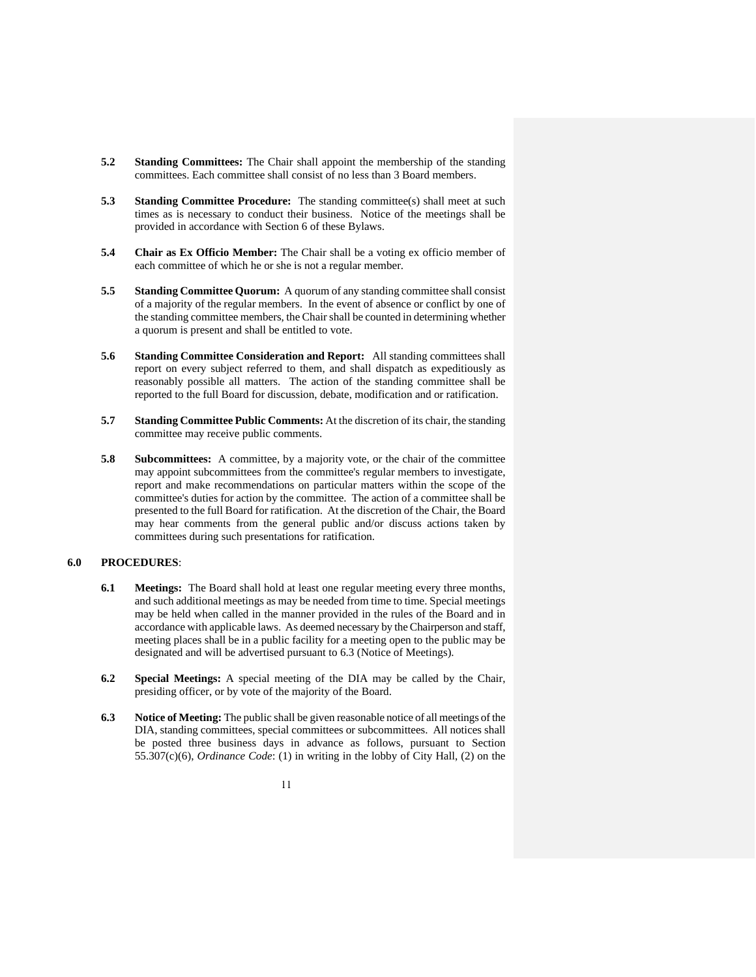- **5.2 Standing Committees:** The Chair shall appoint the membership of the standing committees. Each committee shall consist of no less than 3 Board members.
- **5.3 Standing Committee Procedure:** The standing committee(s) shall meet at such times as is necessary to conduct their business. Notice of the meetings shall be provided in accordance with Section 6 of these Bylaws.
- **5.4 Chair as Ex Officio Member:** The Chair shall be a voting ex officio member of each committee of which he or she is not a regular member.
- **5.5 Standing Committee Quorum:** A quorum of any standing committee shall consist of a majority of the regular members. In the event of absence or conflict by one of the standing committee members, the Chair shall be counted in determining whether a quorum is present and shall be entitled to vote.
- **5.6 Standing Committee Consideration and Report:** All standing committees shall report on every subject referred to them, and shall dispatch as expeditiously as reasonably possible all matters. The action of the standing committee shall be reported to the full Board for discussion, debate, modification and or ratification.
- **5.7 Standing Committee Public Comments:** At the discretion of its chair, the standing committee may receive public comments.
- **5.8 Subcommittees:** A committee, by a majority vote, or the chair of the committee may appoint subcommittees from the committee's regular members to investigate, report and make recommendations on particular matters within the scope of the committee's duties for action by the committee. The action of a committee shall be presented to the full Board for ratification. At the discretion of the Chair, the Board may hear comments from the general public and/or discuss actions taken by committees during such presentations for ratification.

#### **6.0 PROCEDURES**:

- **6.1 Meetings:** The Board shall hold at least one regular meeting every three months, and such additional meetings as may be needed from time to time. Special meetings may be held when called in the manner provided in the rules of the Board and in accordance with applicable laws. As deemed necessary by the Chairperson and staff, meeting places shall be in a public facility for a meeting open to the public may be designated and will be advertised pursuant to 6.3 (Notice of Meetings).
- **6.2 Special Meetings:** A special meeting of the DIA may be called by the Chair, presiding officer, or by vote of the majority of the Board.
- **6.3 Notice of Meeting:** The public shall be given reasonable notice of all meetings of the DIA, standing committees, special committees or subcommittees. All notices shall be posted three business days in advance as follows, pursuant to Section 55.307(c)(6), *Ordinance Code*: (1) in writing in the lobby of City Hall, (2) on the
	- 11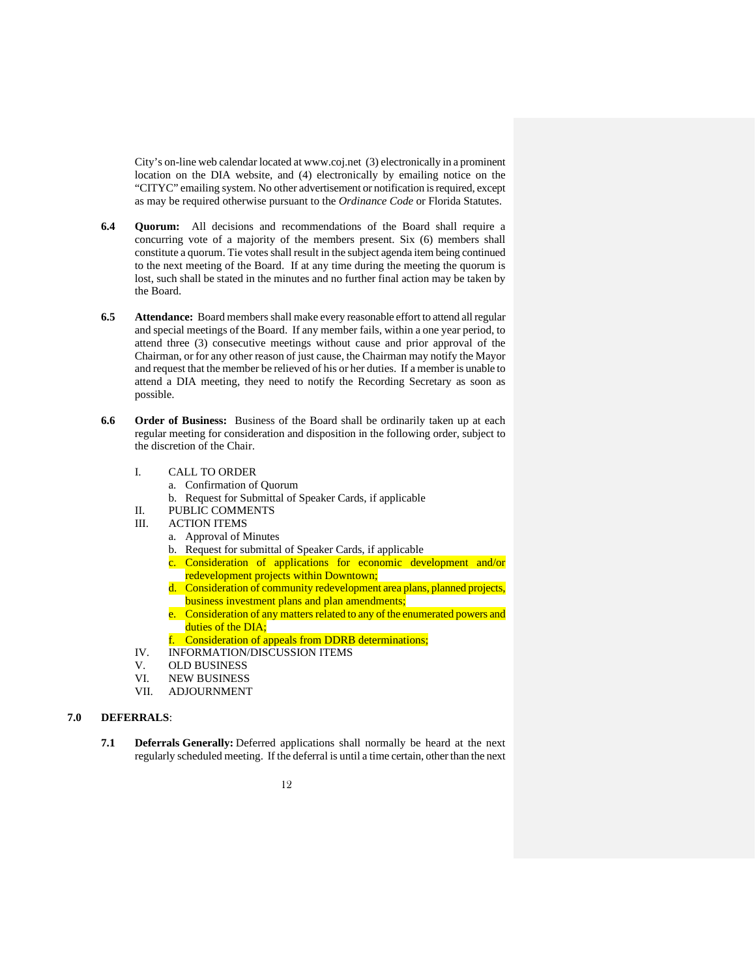City's on-line web calendar located at www.coj.net (3) electronically in a prominent location on the DIA website, and (4) electronically by emailing notice on the "CITYC" emailing system. No other advertisement or notification is required, except as may be required otherwise pursuant to the *Ordinance Code* or Florida Statutes.

- **6.4 Quorum:** All decisions and recommendations of the Board shall require a concurring vote of a majority of the members present. Six (6) members shall constitute a quorum. Tie votes shall result in the subject agenda item being continued to the next meeting of the Board. If at any time during the meeting the quorum is lost, such shall be stated in the minutes and no further final action may be taken by the Board.
- **6.5 Attendance:** Board members shall make every reasonable effort to attend all regular and special meetings of the Board. If any member fails, within a one year period, to attend three (3) consecutive meetings without cause and prior approval of the Chairman, or for any other reason of just cause, the Chairman may notify the Mayor and request that the member be relieved of his or her duties. If a member is unable to attend a DIA meeting, they need to notify the Recording Secretary as soon as possible.
- **6.6 Order of Business:** Business of the Board shall be ordinarily taken up at each regular meeting for consideration and disposition in the following order, subject to the discretion of the Chair.
	- I. CALL TO ORDER
		- a. Confirmation of Quorum
		- b. Request for Submittal of Speaker Cards, if applicable
	- II. PUBLIC COMMENTS
	- III. ACTION ITEMS
		- a. Approval of Minutes
		- b. Request for submittal of Speaker Cards, if applicable
		- Consideration of applications for economic development and/or redevelopment projects within Downtown;
		- d. Consideration of community redevelopment area plans, planned projects, business investment plans and plan amendments;
		- e. Consideration of any matters related to any of the enumerated powers and duties of the DIA;
		- f. Consideration of appeals from DDRB determinations;
	- IV. INFORMATION/DISCUSSION ITEMS
	- V. OLD BUSINESS<br>VI. NEW BUSINESS
	- VI. NEW BUSINESS<br>VII. ADJOURNMENT
	- **ADJOURNMENT**

#### **7.0 DEFERRALS**:

- **7.1 Deferrals Generally:** Deferred applications shall normally be heard at the next regularly scheduled meeting. If the deferral is until a time certain, other than the next
	- 12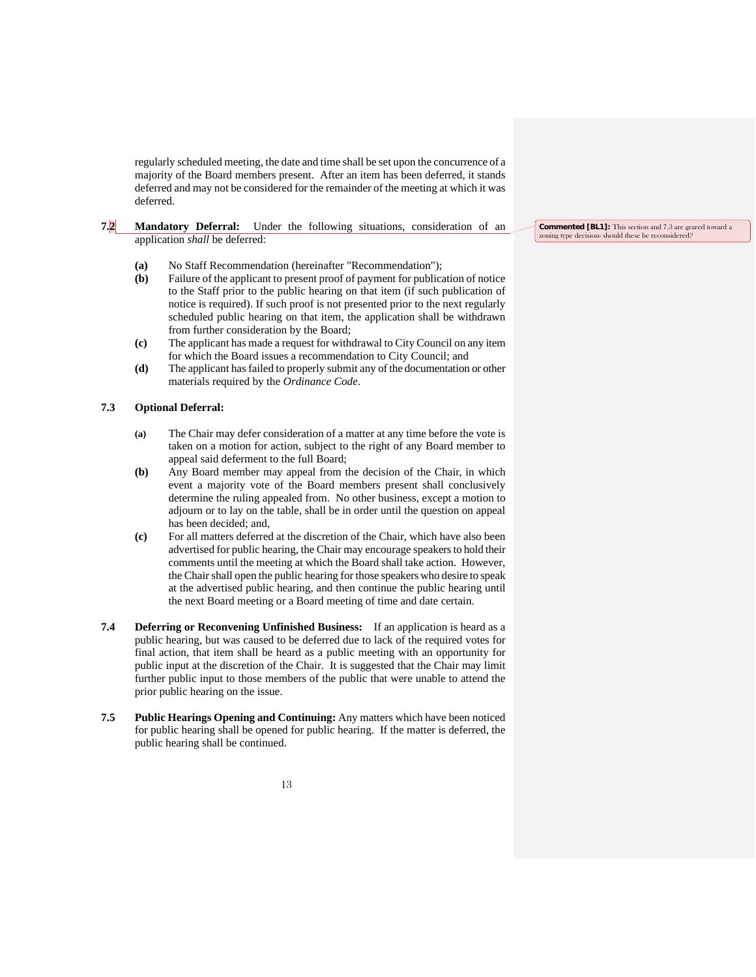regularly scheduled meeting, the date and time shall be set upon the concurrence of a majority of the Board members present. After an item has been deferred, it stands deferred and may not be considered for the remainder of the meeting at which it was deferred.

#### **7.2 Mandatory Deferral:** Under the following situations, consideration of an application *shall* be deferred:

- **(a)** No Staff Recommendation (hereinafter "Recommendation");
- **(b)** Failure of the applicant to present proof of payment for publication of notice to the Staff prior to the public hearing on that item (if such publication of notice is required). If such proof is not presented prior to the next regularly scheduled public hearing on that item, the application shall be withdrawn from further consideration by the Board;
- **(c)** The applicant has made a request for withdrawal to City Council on any item for which the Board issues a recommendation to City Council; and
- **(d)** The applicant has failed to properly submit any of the documentation or other materials required by the *Ordinance Code*.

#### **7.3 Optional Deferral:**

- **(a)** The Chair may defer consideration of a matter at any time before the vote is taken on a motion for action, subject to the right of any Board member to appeal said deferment to the full Board;
- **(b)** Any Board member may appeal from the decision of the Chair, in which event a majority vote of the Board members present shall conclusively determine the ruling appealed from. No other business, except a motion to adjourn or to lay on the table, shall be in order until the question on appeal has been decided; and,
- **(c)** For all matters deferred at the discretion of the Chair, which have also been advertised for public hearing, the Chair may encourage speakers to hold their comments until the meeting at which the Board shall take action. However, the Chair shall open the public hearing for those speakers who desire to speak at the advertised public hearing, and then continue the public hearing until the next Board meeting or a Board meeting of time and date certain.
- **7.4 Deferring or Reconvening Unfinished Business:** If an application is heard as a public hearing, but was caused to be deferred due to lack of the required votes for final action, that item shall be heard as a public meeting with an opportunity for public input at the discretion of the Chair. It is suggested that the Chair may limit further public input to those members of the public that were unable to attend the prior public hearing on the issue.
- **7.5 Public Hearings Opening and Continuing:** Any matters which have been noticed for public hearing shall be opened for public hearing. If the matter is deferred, the public hearing shall be continued.

**Commented [BL1]:** This section and 7.3 are geared toward a zoning type decision- should these be reconsidered?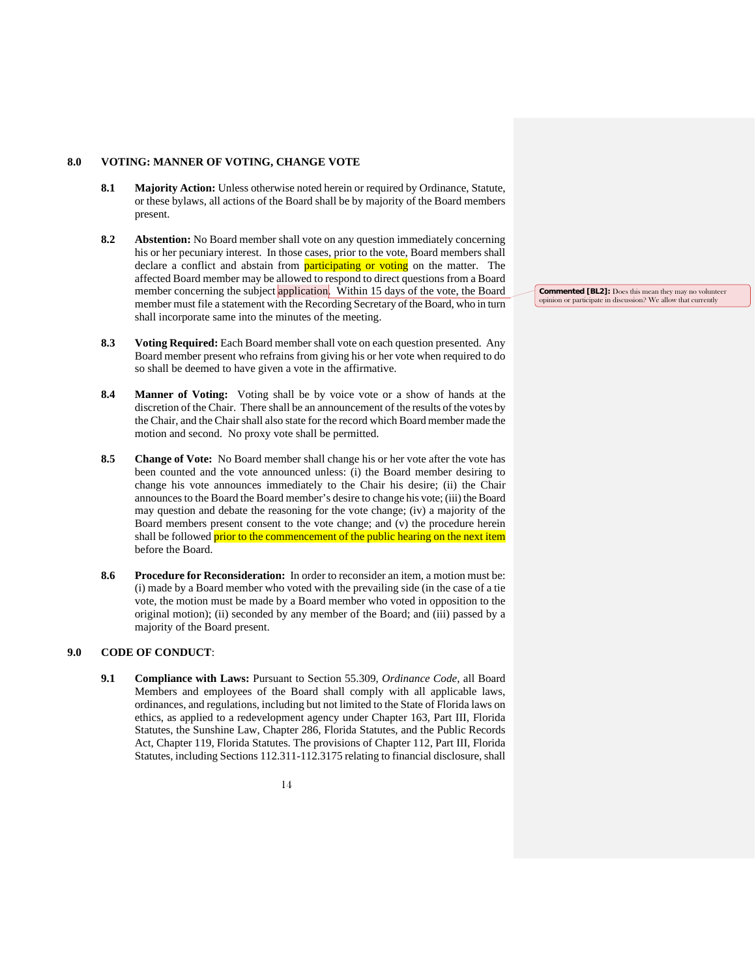#### **8.0 VOTING: MANNER OF VOTING, CHANGE VOTE**

- **8.1 Majority Action:** Unless otherwise noted herein or required by Ordinance, Statute, or these bylaws, all actions of the Board shall be by majority of the Board members present.
- **8.2 Abstention:** No Board member shall vote on any question immediately concerning his or her pecuniary interest. In those cases, prior to the vote, Board members shall declare a conflict and abstain from **participating or voting** on the matter. The affected Board member may be allowed to respond to direct questions from a Board member concerning the subject application. Within 15 days of the vote, the Board member must file a statement with the Recording Secretary of the Board, who in turn shall incorporate same into the minutes of the meeting.
- **8.3 Voting Required:** Each Board member shall vote on each question presented. Any Board member present who refrains from giving his or her vote when required to do so shall be deemed to have given a vote in the affirmative.
- **8.4 Manner of Voting:** Voting shall be by voice vote or a show of hands at the discretion of the Chair. There shall be an announcement of the results of the votes by the Chair, and the Chair shall also state for the record which Board member made the motion and second. No proxy vote shall be permitted.
- **8.5 Change of Vote:** No Board member shall change his or her vote after the vote has been counted and the vote announced unless: (i) the Board member desiring to change his vote announces immediately to the Chair his desire; (ii) the Chair announces to the Board the Board member's desire to change his vote; (iii) the Board may question and debate the reasoning for the vote change; (iv) a majority of the Board members present consent to the vote change; and (v) the procedure herein shall be followed prior to the commencement of the public hearing on the next item before the Board.
- **8.6 Procedure for Reconsideration:** In order to reconsider an item, a motion must be: (i) made by a Board member who voted with the prevailing side (in the case of a tie vote, the motion must be made by a Board member who voted in opposition to the original motion); (ii) seconded by any member of the Board; and (iii) passed by a majority of the Board present.

#### **9.0 CODE OF CONDUCT**:

**9.1 Compliance with Laws:** Pursuant to Section 55.309, *Ordinance Code*, all Board Members and employees of the Board shall comply with all applicable laws, ordinances, and regulations, including but not limited to the State of Florida laws on ethics, as applied to a redevelopment agency under Chapter 163, Part III, Florida Statutes, the Sunshine Law, Chapter 286, Florida Statutes, and the Public Records Act, Chapter 119, Florida Statutes. The provisions of Chapter 112, Part III, Florida Statutes, including Sections 112.311-112.3175 relating to financial disclosure, shall

**Commented [BL2]:** Does this mean they may no volunteer opinion or participate in discussion? We allow that currently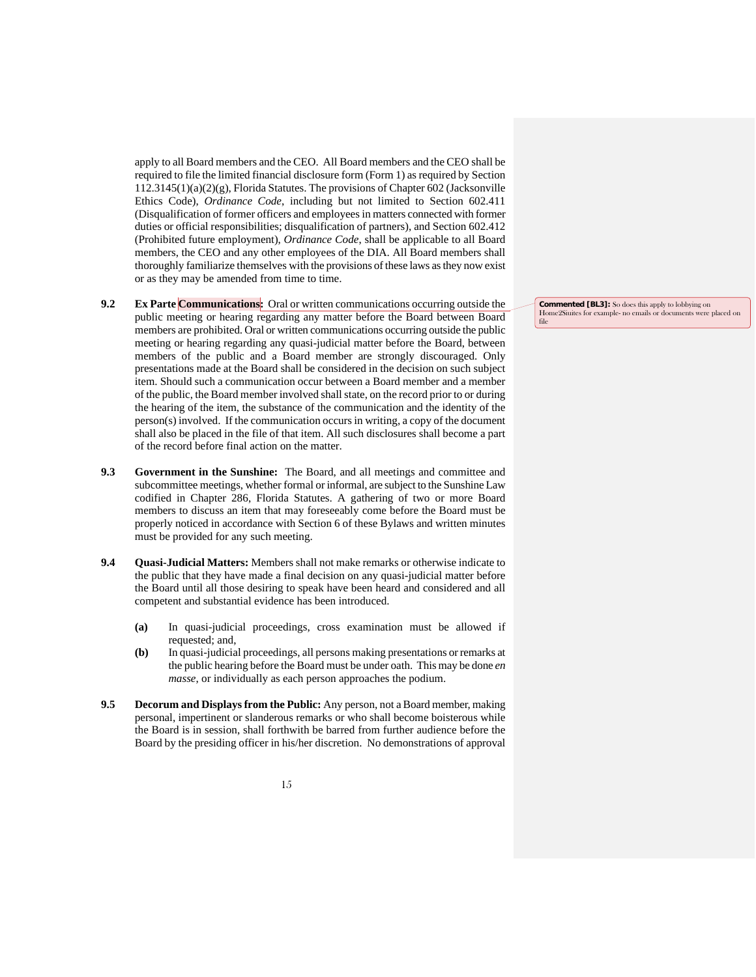apply to all Board members and the CEO. All Board members and the CEO shall be required to file the limited financial disclosure form (Form 1) as required by Section 112.3145(1)(a)(2)(g), Florida Statutes. The provisions of Chapter 602 (Jacksonville Ethics Code), *Ordinance Code*, including but not limited to Section 602.411 (Disqualification of former officers and employees in matters connected with former duties or official responsibilities; disqualification of partners), and Section 602.412 (Prohibited future employment), *Ordinance Code*, shall be applicable to all Board members, the CEO and any other employees of the DIA. All Board members shall thoroughly familiarize themselves with the provisions of these laws as they now exist or as they may be amended from time to time.

- **9.2 Ex Parte Communications:** Oral or written communications occurring outside the public meeting or hearing regarding any matter before the Board between Board members are prohibited. Oral or written communications occurring outside the public meeting or hearing regarding any quasi-judicial matter before the Board, between members of the public and a Board member are strongly discouraged. Only presentations made at the Board shall be considered in the decision on such subject item. Should such a communication occur between a Board member and a member of the public, the Board member involved shall state, on the record prior to or during the hearing of the item, the substance of the communication and the identity of the person(s) involved. If the communication occurs in writing, a copy of the document shall also be placed in the file of that item. All such disclosures shall become a part of the record before final action on the matter.
- **9.3 Government in the Sunshine:** The Board, and all meetings and committee and subcommittee meetings, whether formal or informal, are subject to the Sunshine Law codified in Chapter 286, Florida Statutes. A gathering of two or more Board members to discuss an item that may foreseeably come before the Board must be properly noticed in accordance with Section 6 of these Bylaws and written minutes must be provided for any such meeting.
- **9.4 Quasi-Judicial Matters:** Members shall not make remarks or otherwise indicate to the public that they have made a final decision on any quasi-judicial matter before the Board until all those desiring to speak have been heard and considered and all competent and substantial evidence has been introduced.
	- **(a)** In quasi-judicial proceedings, cross examination must be allowed if requested; and,
	- **(b)** In quasi-judicial proceedings, all persons making presentations or remarks at the public hearing before the Board must be under oath. This may be done *en masse*, or individually as each person approaches the podium.
- **9.5 Decorum and Displays from the Public:** Any person, not a Board member, making personal, impertinent or slanderous remarks or who shall become boisterous while the Board is in session, shall forthwith be barred from further audience before the Board by the presiding officer in his/her discretion. No demonstrations of approval

**Commented [BL3]:** So does this apply to lobbying on Home2Siuites for example- no emails or documents were placed on file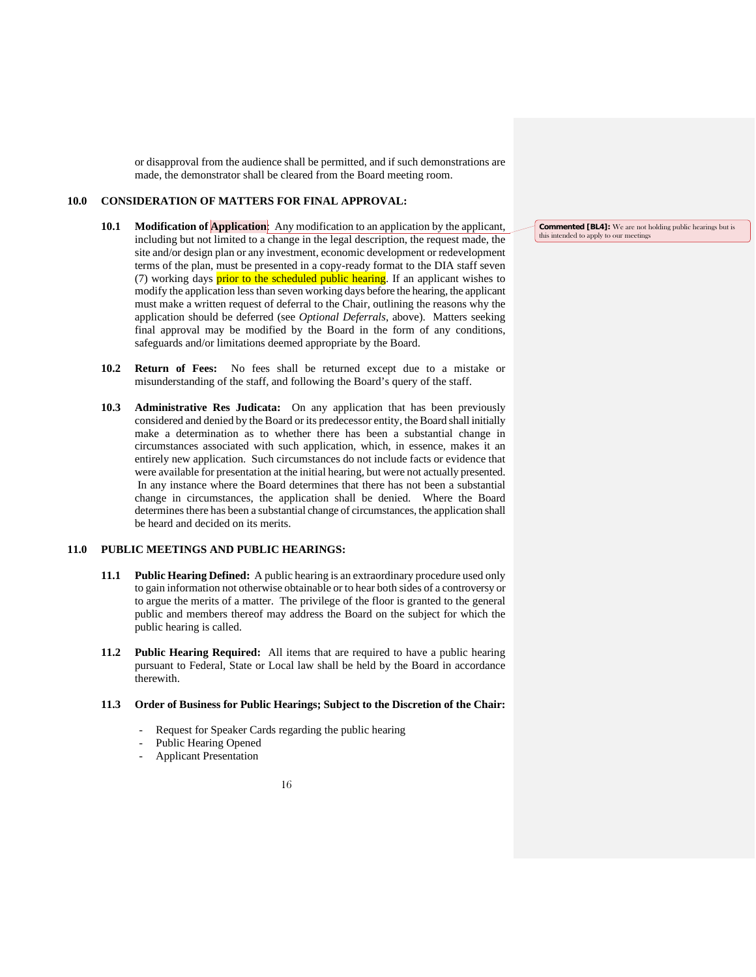or disapproval from the audience shall be permitted, and if such demonstrations are made, the demonstrator shall be cleared from the Board meeting room.

#### **10.0 CONSIDERATION OF MATTERS FOR FINAL APPROVAL:**

- **10.1 Modification of Application**: Any modification to an application by the applicant, including but not limited to a change in the legal description, the request made, the site and/or design plan or any investment, economic development or redevelopment terms of the plan, must be presented in a copy-ready format to the DIA staff seven (7) working days **prior to the scheduled public hearing**. If an applicant wishes to modify the application less than seven working days before the hearing, the applicant must make a written request of deferral to the Chair, outlining the reasons why the application should be deferred (see *Optional Deferrals*, above). Matters seeking final approval may be modified by the Board in the form of any conditions, safeguards and/or limitations deemed appropriate by the Board.
- **10.2 Return of Fees:** No fees shall be returned except due to a mistake or misunderstanding of the staff, and following the Board's query of the staff.
- **10.3 Administrative Res Judicata:** On any application that has been previously considered and denied by the Board or its predecessor entity, the Board shall initially make a determination as to whether there has been a substantial change in circumstances associated with such application, which, in essence, makes it an entirely new application. Such circumstances do not include facts or evidence that were available for presentation at the initial hearing, but were not actually presented. In any instance where the Board determines that there has not been a substantial change in circumstances, the application shall be denied. Where the Board determines there has been a substantial change of circumstances, the application shall be heard and decided on its merits.

#### **11.0 PUBLIC MEETINGS AND PUBLIC HEARINGS:**

- **11.1 Public Hearing Defined:** A public hearing is an extraordinary procedure used only to gain information not otherwise obtainable or to hear both sides of a controversy or to argue the merits of a matter. The privilege of the floor is granted to the general public and members thereof may address the Board on the subject for which the public hearing is called.
- **11.2 Public Hearing Required:** All items that are required to have a public hearing pursuant to Federal, State or Local law shall be held by the Board in accordance therewith.

#### **11.3 Order of Business for Public Hearings; Subject to the Discretion of the Chair:**

- Request for Speaker Cards regarding the public hearing
- Public Hearing Opened
- Applicant Presentation

16

**Commented [BL4]:** We are not holding public hearings but is this intended to apply to our meetings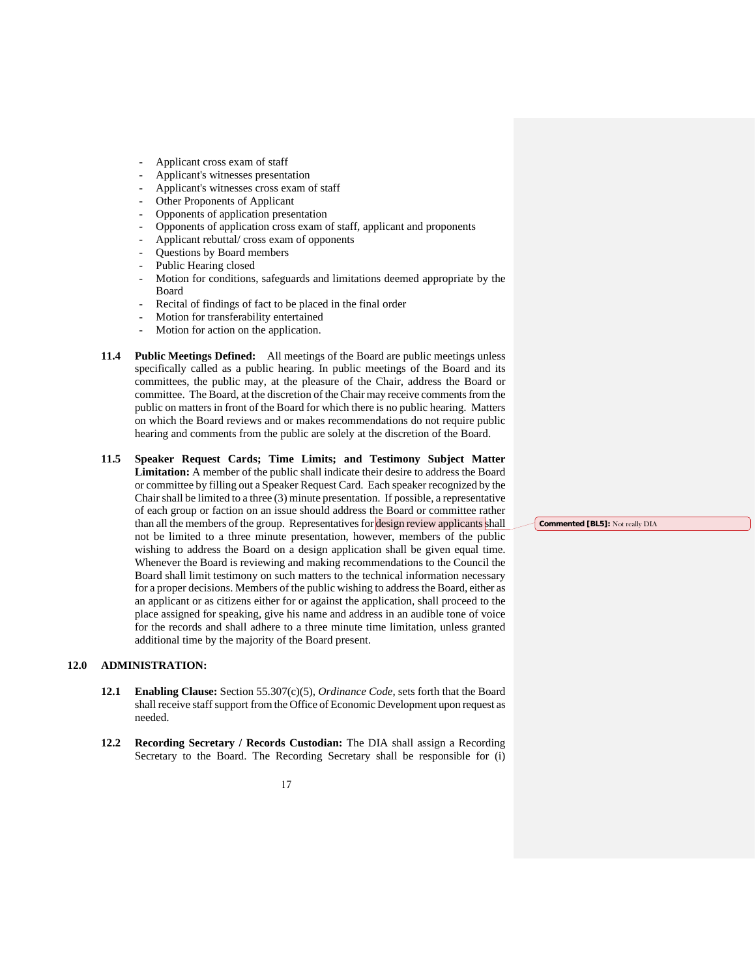- Applicant cross exam of staff
- Applicant's witnesses presentation
- Applicant's witnesses cross exam of staff
- Other Proponents of Applicant
- Opponents of application presentation
- Opponents of application cross exam of staff, applicant and proponents
- Applicant rebuttal/ cross exam of opponents
- Questions by Board members
- Public Hearing closed
- Motion for conditions, safeguards and limitations deemed appropriate by the Board
- Recital of findings of fact to be placed in the final order
- Motion for transferability entertained
- Motion for action on the application.
- **11.4 Public Meetings Defined:** All meetings of the Board are public meetings unless specifically called as a public hearing. In public meetings of the Board and its committees, the public may, at the pleasure of the Chair, address the Board or committee. The Board, at the discretion of the Chair may receive comments from the public on matters in front of the Board for which there is no public hearing. Matters on which the Board reviews and or makes recommendations do not require public hearing and comments from the public are solely at the discretion of the Board.
- **11.5 Speaker Request Cards; Time Limits; and Testimony Subject Matter Limitation:** A member of the public shall indicate their desire to address the Board or committee by filling out a Speaker Request Card. Each speaker recognized by the Chair shall be limited to a three (3) minute presentation. If possible, a representative of each group or faction on an issue should address the Board or committee rather than all the members of the group. Representatives for design review applicants shall not be limited to a three minute presentation, however, members of the public wishing to address the Board on a design application shall be given equal time. Whenever the Board is reviewing and making recommendations to the Council the Board shall limit testimony on such matters to the technical information necessary for a proper decisions. Members of the public wishing to address the Board, either as an applicant or as citizens either for or against the application, shall proceed to the place assigned for speaking, give his name and address in an audible tone of voice for the records and shall adhere to a three minute time limitation, unless granted additional time by the majority of the Board present.

#### **12.0 ADMINISTRATION:**

- **12.1 Enabling Clause:** Section 55.307(c)(5), *Ordinance Code*, sets forth that the Board shall receive staff support from the Office of Economic Development upon request as needed.
- **12.2 Recording Secretary / Records Custodian:** The DIA shall assign a Recording Secretary to the Board. The Recording Secretary shall be responsible for (i)

**Commented [BL5]:** Not really DIA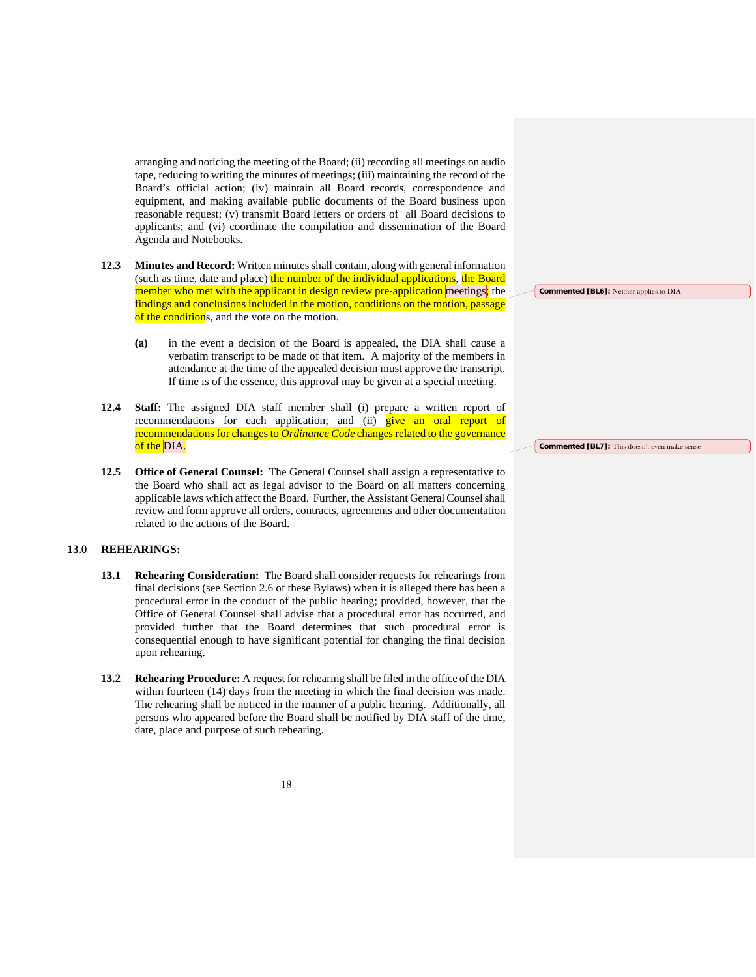arranging and noticing the meeting of the Board; (ii) recording all meetings on audio tape, reducing to writing the minutes of meetings; (iii) maintaining the record of the Board's official action; (iv) maintain all Board records, correspondence and equipment, and making available public documents of the Board business upon reasonable request; (v) transmit Board letters or orders of all Board decisions to applicants; and (vi) coordinate the compilation and dissemination of the Board Agenda and Notebooks.

- **12.3 Minutes and Record:** Written minutes shall contain, along with general information (such as time, date and place) the number of the individual applications, the Board member who met with the applicant in design review pre-application meetings; the findings and conclusions included in the motion, conditions on the motion, passage of the conditions, and the vote on the motion.
	- **(a)** in the event a decision of the Board is appealed, the DIA shall cause a verbatim transcript to be made of that item. A majority of the members in attendance at the time of the appealed decision must approve the transcript. If time is of the essence, this approval may be given at a special meeting.
- **12.4 Staff:** The assigned DIA staff member shall (i) prepare a written report of recommendations for each application; and (ii) give an oral report of recommendations for changes to *Ordinance Code* changes related to the governance of the DIA.
- **12.5 Office of General Counsel:** The General Counsel shall assign a representative to the Board who shall act as legal advisor to the Board on all matters concerning applicable laws which affect the Board. Further, the Assistant General Counsel shall review and form approve all orders, contracts, agreements and other documentation related to the actions of the Board.

#### **13.0 REHEARINGS:**

- **13.1 Rehearing Consideration:** The Board shall consider requests for rehearings from final decisions (see Section 2.6 of these Bylaws) when it is alleged there has been a procedural error in the conduct of the public hearing; provided, however, that the Office of General Counsel shall advise that a procedural error has occurred, and provided further that the Board determines that such procedural error is consequential enough to have significant potential for changing the final decision upon rehearing.
- **13.2 Rehearing Procedure:** A request for rehearing shall be filed in the office of the DIA within fourteen (14) days from the meeting in which the final decision was made. The rehearing shall be noticed in the manner of a public hearing. Additionally, all persons who appeared before the Board shall be notified by DIA staff of the time, date, place and purpose of such rehearing.

**Commented [BL6]:** Neither applies to DIA

**Commented [BL7]:** This doesn't even make sense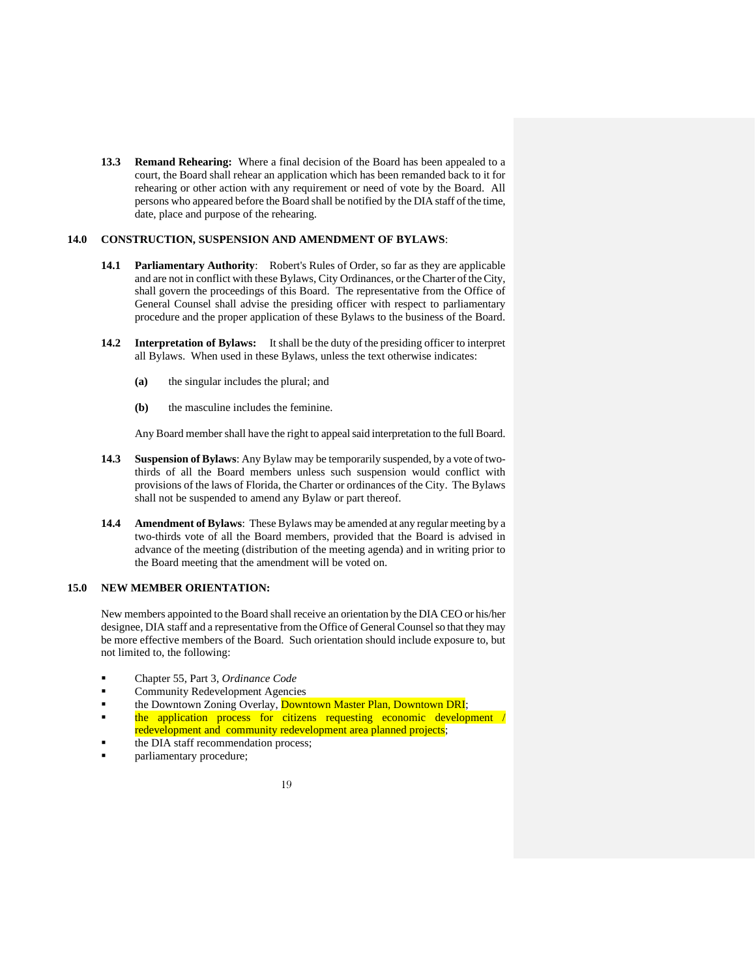**13.3 Remand Rehearing:** Where a final decision of the Board has been appealed to a court, the Board shall rehear an application which has been remanded back to it for rehearing or other action with any requirement or need of vote by the Board. All persons who appeared before the Board shall be notified by the DIA staff of the time, date, place and purpose of the rehearing.

#### **14.0 CONSTRUCTION, SUSPENSION AND AMENDMENT OF BYLAWS**:

- **14.1 Parliamentary Authority**: Robert's Rules of Order, so far as they are applicable and are not in conflict with these Bylaws, City Ordinances, or the Charter of the City, shall govern the proceedings of this Board. The representative from the Office of General Counsel shall advise the presiding officer with respect to parliamentary procedure and the proper application of these Bylaws to the business of the Board.
- **14.2 Interpretation of Bylaws:** It shall be the duty of the presiding officer to interpret all Bylaws. When used in these Bylaws, unless the text otherwise indicates:
	- **(a)** the singular includes the plural; and
	- **(b)** the masculine includes the feminine.

Any Board member shall have the right to appeal said interpretation to the full Board.

- **14.3 Suspension of Bylaws**: Any Bylaw may be temporarily suspended, by a vote of twothirds of all the Board members unless such suspension would conflict with provisions of the laws of Florida, the Charter or ordinances of the City. The Bylaws shall not be suspended to amend any Bylaw or part thereof.
- **14.4 Amendment of Bylaws**: These Bylaws may be amended at any regular meeting by a two-thirds vote of all the Board members, provided that the Board is advised in advance of the meeting (distribution of the meeting agenda) and in writing prior to the Board meeting that the amendment will be voted on.

#### **15.0 NEW MEMBER ORIENTATION:**

New members appointed to the Board shall receive an orientation by the DIA CEO or his/her designee, DIA staff and a representative from the Office of General Counsel so that they may be more effective members of the Board. Such orientation should include exposure to, but not limited to, the following:

- Chapter 55, Part 3, *Ordinance Code*
- Community Redevelopment Agencies
- the Downtown Zoning Overlay, **Downtown Master Plan, Downtown DRI**;
- the application process for citizens requesting economic development / redevelopment and community redevelopment area planned projects;
- the DIA staff recommendation process;
- parliamentary procedure;

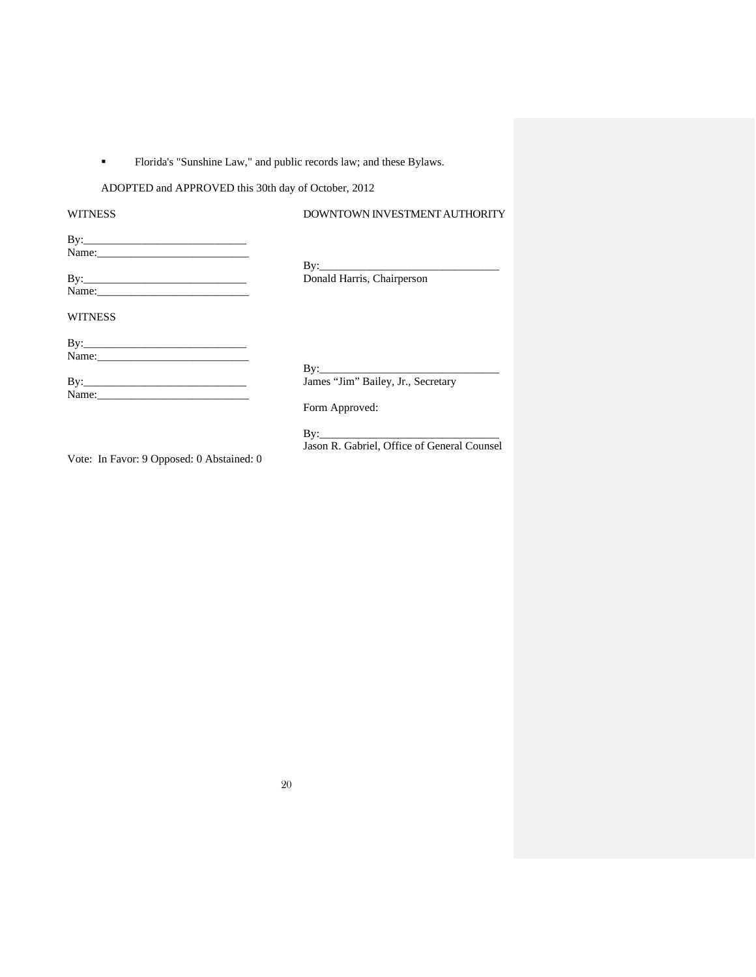### Florida's "Sunshine Law," and public records law; and these Bylaws.

### ADOPTED and APPROVED this 30th day of October, 2012

| <b>WITNESS</b>                            | DOWNTOWN INVESTMENT AUTHORITY               |  |  |
|-------------------------------------------|---------------------------------------------|--|--|
|                                           |                                             |  |  |
|                                           |                                             |  |  |
|                                           | $By:\_\_\_\_\_\_\_\_\_\_\_$                 |  |  |
|                                           | Donald Harris, Chairperson                  |  |  |
|                                           |                                             |  |  |
| <b>WITNESS</b>                            |                                             |  |  |
|                                           |                                             |  |  |
|                                           |                                             |  |  |
|                                           | $\rm\,By:$                                  |  |  |
|                                           | James "Jim" Bailey, Jr., Secretary          |  |  |
|                                           |                                             |  |  |
|                                           | Form Approved:                              |  |  |
|                                           |                                             |  |  |
|                                           | Jason R. Gabriel, Office of General Counsel |  |  |
| Vote: In Favor: 9 Opposed: 0 Abstained: 0 |                                             |  |  |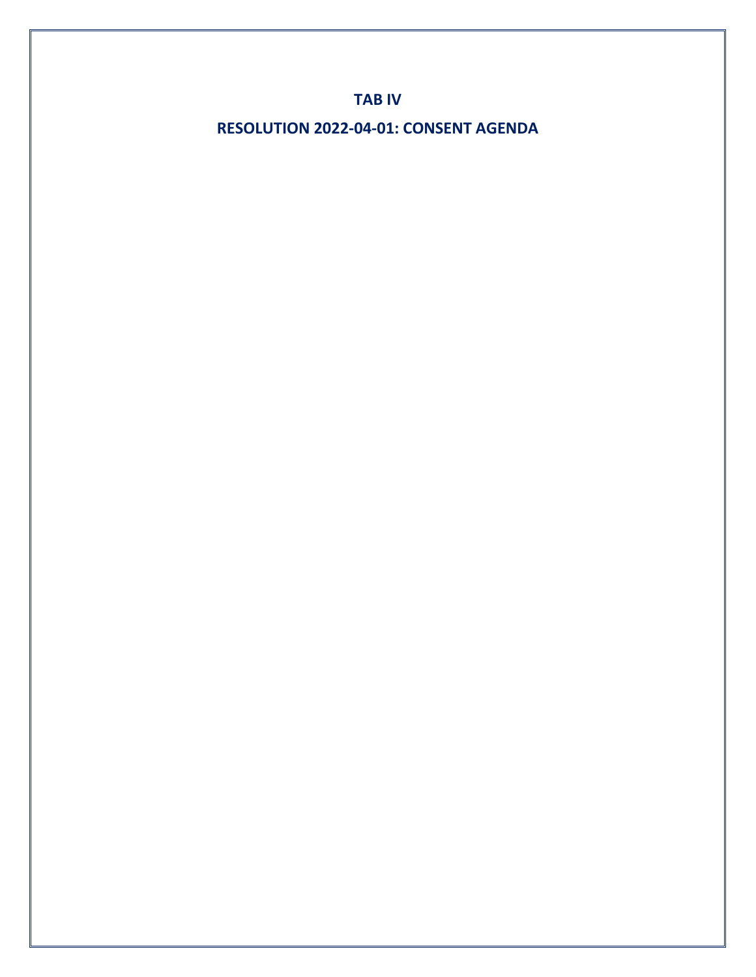**TAB IV**

**RESOLUTION 2022-04-01: CONSENT AGENDA**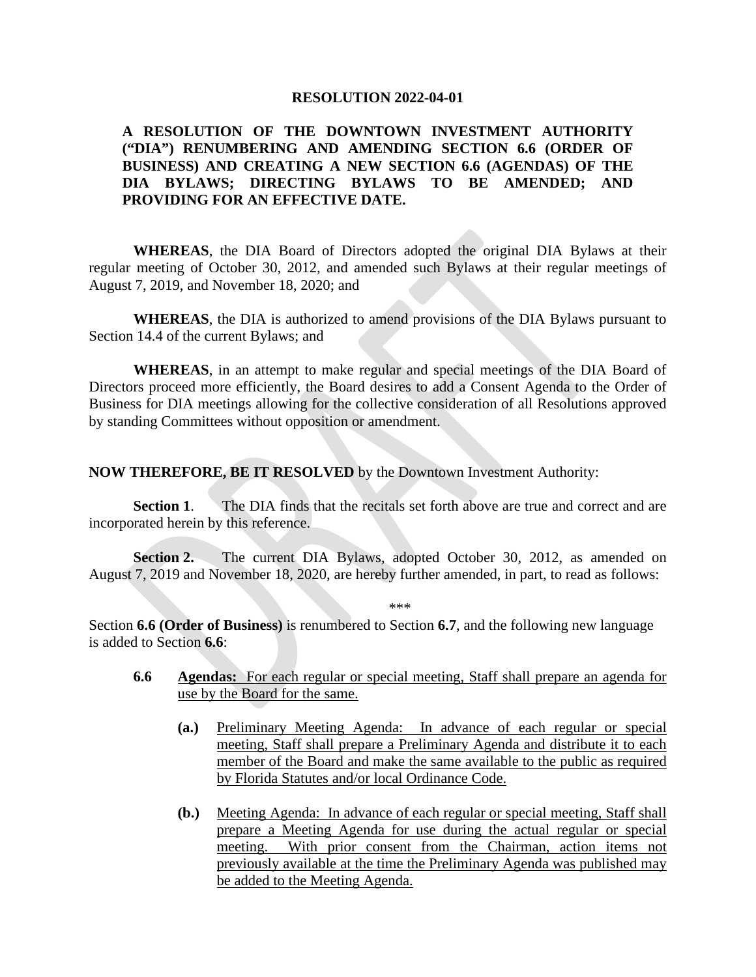#### **RESOLUTION 2022-04-01**

### **A RESOLUTION OF THE DOWNTOWN INVESTMENT AUTHORITY ("DIA") RENUMBERING AND AMENDING SECTION 6.6 (ORDER OF BUSINESS) AND CREATING A NEW SECTION 6.6 (AGENDAS) OF THE DIA BYLAWS; DIRECTING BYLAWS TO BE AMENDED; AND PROVIDING FOR AN EFFECTIVE DATE.**

**WHEREAS**, the DIA Board of Directors adopted the original DIA Bylaws at their regular meeting of October 30, 2012, and amended such Bylaws at their regular meetings of August 7, 2019, and November 18, 2020; and

**WHEREAS**, the DIA is authorized to amend provisions of the DIA Bylaws pursuant to Section 14.4 of the current Bylaws; and

**WHEREAS**, in an attempt to make regular and special meetings of the DIA Board of Directors proceed more efficiently, the Board desires to add a Consent Agenda to the Order of Business for DIA meetings allowing for the collective consideration of all Resolutions approved by standing Committees without opposition or amendment.

**NOW THEREFORE, BE IT RESOLVED** by the Downtown Investment Authority:

**Section 1.** The DIA finds that the recitals set forth above are true and correct and are incorporated herein by this reference.

Section 2. The current DIA Bylaws, adopted October 30, 2012, as amended on August 7, 2019 and November 18, 2020, are hereby further amended, in part, to read as follows:

\*\*\*

Section **6.6 (Order of Business)** is renumbered to Section **6.7**, and the following new language is added to Section **6.6**:

- **6.6 Agendas:** For each regular or special meeting, Staff shall prepare an agenda for use by the Board for the same.
	- **(a.)** Preliminary Meeting Agenda: In advance of each regular or special meeting, Staff shall prepare a Preliminary Agenda and distribute it to each member of the Board and make the same available to the public as required by Florida Statutes and/or local Ordinance Code.
	- **(b.)** Meeting Agenda: In advance of each regular or special meeting, Staff shall prepare a Meeting Agenda for use during the actual regular or special meeting. With prior consent from the Chairman, action items not previously available at the time the Preliminary Agenda was published may be added to the Meeting Agenda.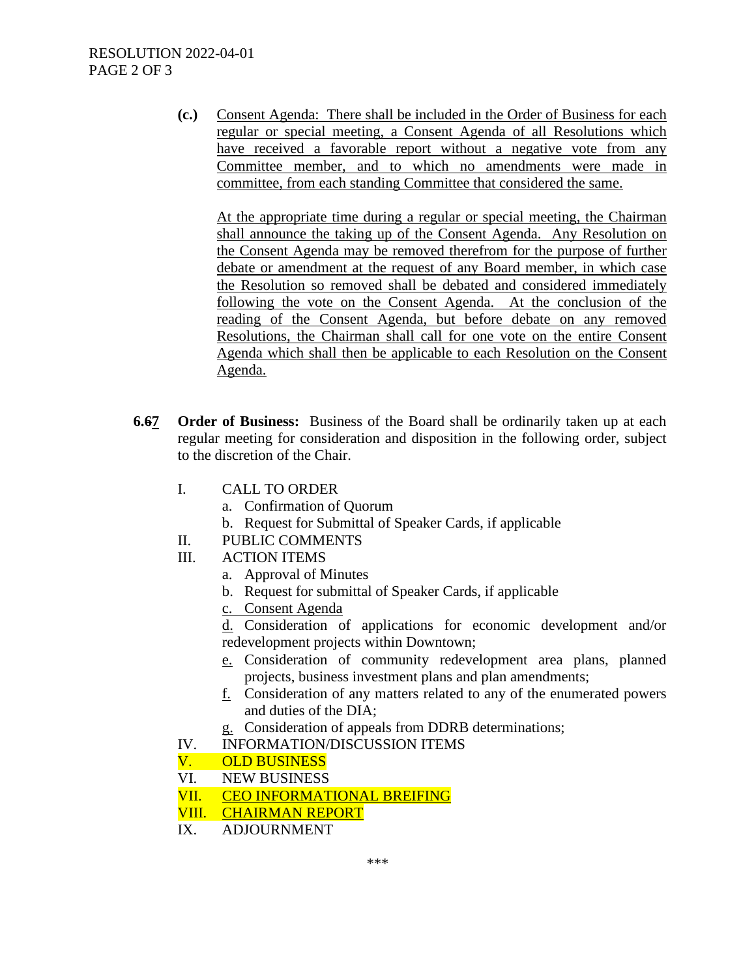**(c.)** Consent Agenda: There shall be included in the Order of Business for each regular or special meeting, a Consent Agenda of all Resolutions which have received a favorable report without a negative vote from any Committee member, and to which no amendments were made in committee, from each standing Committee that considered the same.

At the appropriate time during a regular or special meeting, the Chairman shall announce the taking up of the Consent Agenda. Any Resolution on the Consent Agenda may be removed therefrom for the purpose of further debate or amendment at the request of any Board member, in which case the Resolution so removed shall be debated and considered immediately following the vote on the Consent Agenda. At the conclusion of the reading of the Consent Agenda, but before debate on any removed Resolutions, the Chairman shall call for one vote on the entire Consent Agenda which shall then be applicable to each Resolution on the Consent Agenda.

- **6.67 Order of Business:** Business of the Board shall be ordinarily taken up at each regular meeting for consideration and disposition in the following order, subject to the discretion of the Chair.
	- I. CALL TO ORDER
		- a. Confirmation of Quorum
		- b. Request for Submittal of Speaker Cards, if applicable
	- II. PUBLIC COMMENTS
	- III. ACTION ITEMS
		- a. Approval of Minutes
		- b. Request for submittal of Speaker Cards, if applicable
		- c. Consent Agenda

d. Consideration of applications for economic development and/or redevelopment projects within Downtown;

- e. Consideration of community redevelopment area plans, planned projects, business investment plans and plan amendments;
- f. Consideration of any matters related to any of the enumerated powers and duties of the DIA;
- g. Consideration of appeals from DDRB determinations;
- IV. INFORMATION/DISCUSSION ITEMS
- V. OLD BUSINESS
- VI. NEW BUSINESS
- VII. CEO INFORMATIONAL BREIFING
- VIII. CHAIRMAN REPORT
- IX. ADJOURNMENT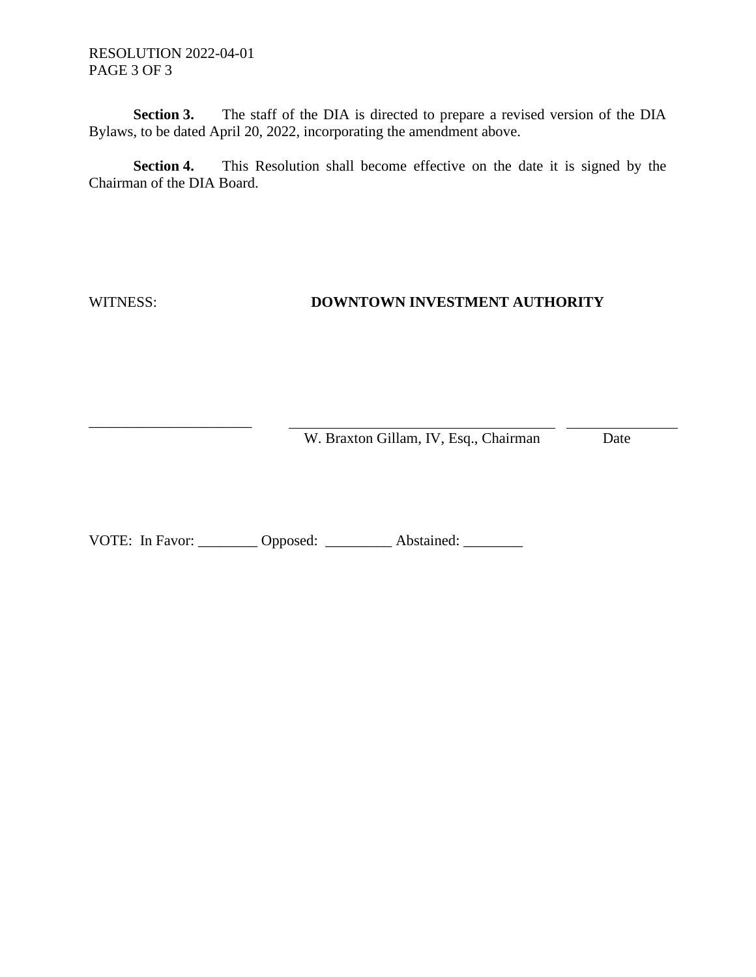RESOLUTION 2022-04-01 PAGE 3 OF 3

**Section 3.** The staff of the DIA is directed to prepare a revised version of the DIA Bylaws, to be dated April 20, 2022, incorporating the amendment above.

**Section 4.** This Resolution shall become effective on the date it is signed by the Chairman of the DIA Board.

\_\_\_\_\_\_\_\_\_\_\_\_\_\_\_\_\_\_\_\_\_\_

## WITNESS: **DOWNTOWN INVESTMENT AUTHORITY**

W. Braxton Gillam, IV, Esq., Chairman Date

VOTE: In Favor: \_\_\_\_\_\_\_\_ Opposed: \_\_\_\_\_\_\_\_\_ Abstained: \_\_\_\_\_\_\_\_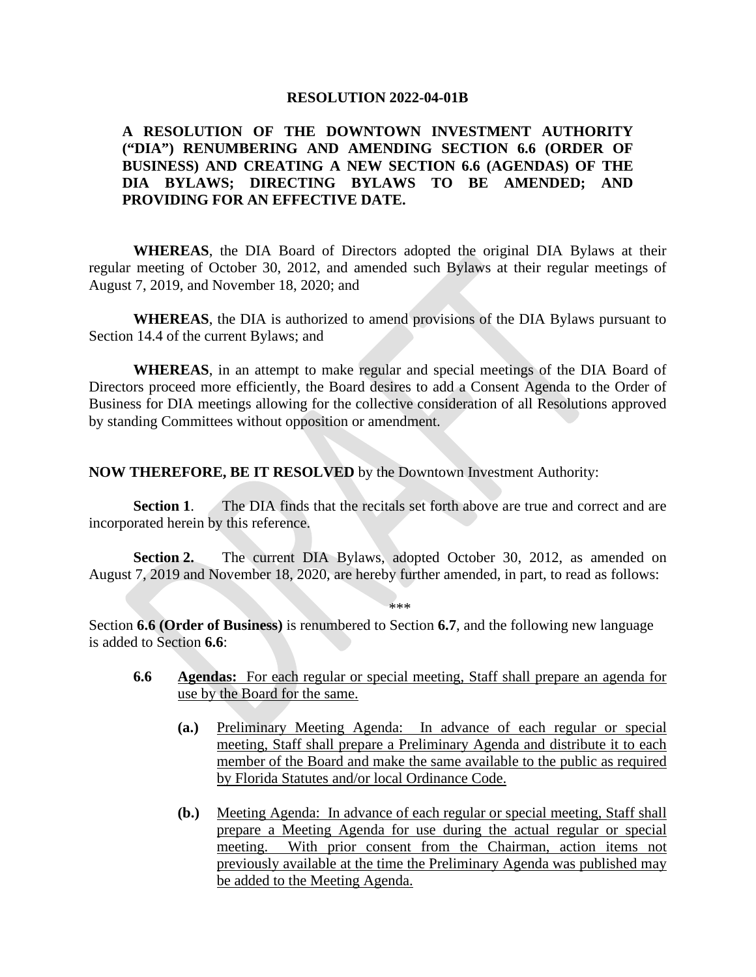#### **RESOLUTION 2022-04-01B**

### **A RESOLUTION OF THE DOWNTOWN INVESTMENT AUTHORITY ("DIA") RENUMBERING AND AMENDING SECTION 6.6 (ORDER OF BUSINESS) AND CREATING A NEW SECTION 6.6 (AGENDAS) OF THE DIA BYLAWS; DIRECTING BYLAWS TO BE AMENDED; AND PROVIDING FOR AN EFFECTIVE DATE.**

**WHEREAS**, the DIA Board of Directors adopted the original DIA Bylaws at their regular meeting of October 30, 2012, and amended such Bylaws at their regular meetings of August 7, 2019, and November 18, 2020; and

**WHEREAS**, the DIA is authorized to amend provisions of the DIA Bylaws pursuant to Section 14.4 of the current Bylaws; and

**WHEREAS**, in an attempt to make regular and special meetings of the DIA Board of Directors proceed more efficiently, the Board desires to add a Consent Agenda to the Order of Business for DIA meetings allowing for the collective consideration of all Resolutions approved by standing Committees without opposition or amendment.

**NOW THEREFORE, BE IT RESOLVED** by the Downtown Investment Authority:

**Section 1.** The DIA finds that the recitals set forth above are true and correct and are incorporated herein by this reference.

**Section 2.** The current DIA Bylaws, adopted October 30, 2012, as amended on August 7, 2019 and November 18, 2020, are hereby further amended, in part, to read as follows:

\*\*\*

Section **6.6 (Order of Business)** is renumbered to Section **6.7**, and the following new language is added to Section **6.6**:

- **6.6 Agendas:** For each regular or special meeting, Staff shall prepare an agenda for use by the Board for the same.
	- **(a.)** Preliminary Meeting Agenda: In advance of each regular or special meeting, Staff shall prepare a Preliminary Agenda and distribute it to each member of the Board and make the same available to the public as required by Florida Statutes and/or local Ordinance Code.
	- **(b.)** Meeting Agenda: In advance of each regular or special meeting, Staff shall prepare a Meeting Agenda for use during the actual regular or special meeting. With prior consent from the Chairman, action items not previously available at the time the Preliminary Agenda was published may be added to the Meeting Agenda.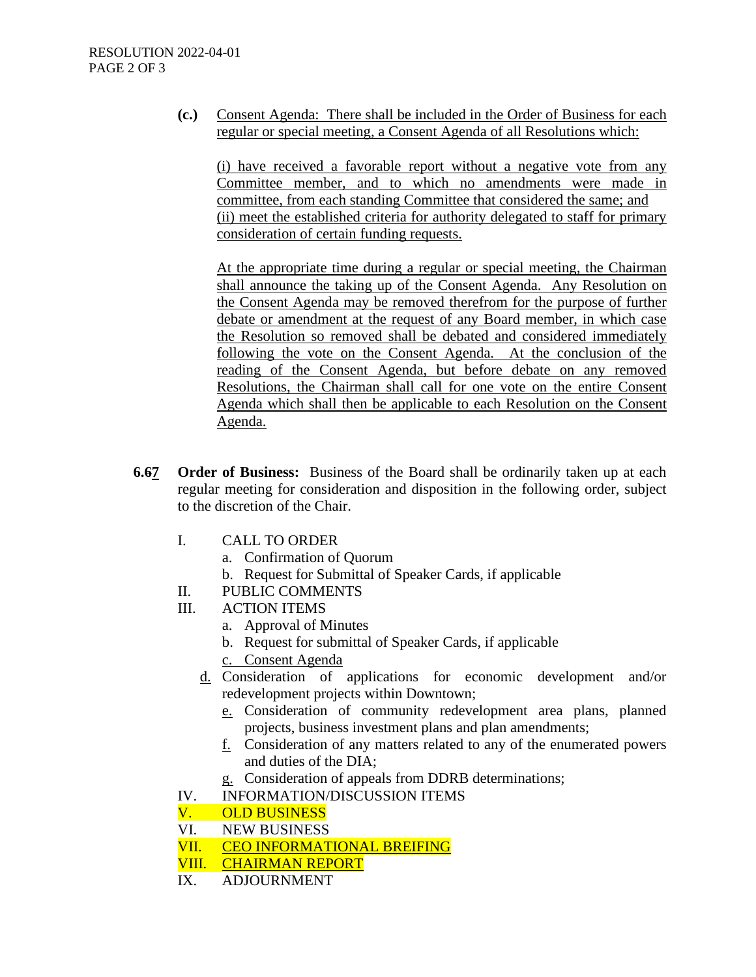**(c.)** Consent Agenda: There shall be included in the Order of Business for each regular or special meeting, a Consent Agenda of all Resolutions which:

(i) have received a favorable report without a negative vote from any Committee member, and to which no amendments were made in committee, from each standing Committee that considered the same; and (ii) meet the established criteria for authority delegated to staff for primary consideration of certain funding requests.

At the appropriate time during a regular or special meeting, the Chairman shall announce the taking up of the Consent Agenda. Any Resolution on the Consent Agenda may be removed therefrom for the purpose of further debate or amendment at the request of any Board member, in which case the Resolution so removed shall be debated and considered immediately following the vote on the Consent Agenda. At the conclusion of the reading of the Consent Agenda, but before debate on any removed Resolutions, the Chairman shall call for one vote on the entire Consent Agenda which shall then be applicable to each Resolution on the Consent Agenda.

- **6.67 Order of Business:** Business of the Board shall be ordinarily taken up at each regular meeting for consideration and disposition in the following order, subject to the discretion of the Chair.
	- I. CALL TO ORDER
		- a. Confirmation of Quorum
		- b. Request for Submittal of Speaker Cards, if applicable
	- II. PUBLIC COMMENTS
	- III. ACTION ITEMS
		- a. Approval of Minutes
		- b. Request for submittal of Speaker Cards, if applicable
		- c. Consent Agenda
		- d. Consideration of applications for economic development and/or redevelopment projects within Downtown;
			- e. Consideration of community redevelopment area plans, planned projects, business investment plans and plan amendments;
			- $f<sub>i</sub>$  Consideration of any matters related to any of the enumerated powers and duties of the DIA;
			- g. Consideration of appeals from DDRB determinations;
	- IV. INFORMATION/DISCUSSION ITEMS
	- V. OLD BUSINESS
	- VI. NEW BUSINESS
	- VII. CEO INFORMATIONAL BREIFING
	- VIII. CHAIRMAN REPORT
	- IX. ADJOURNMENT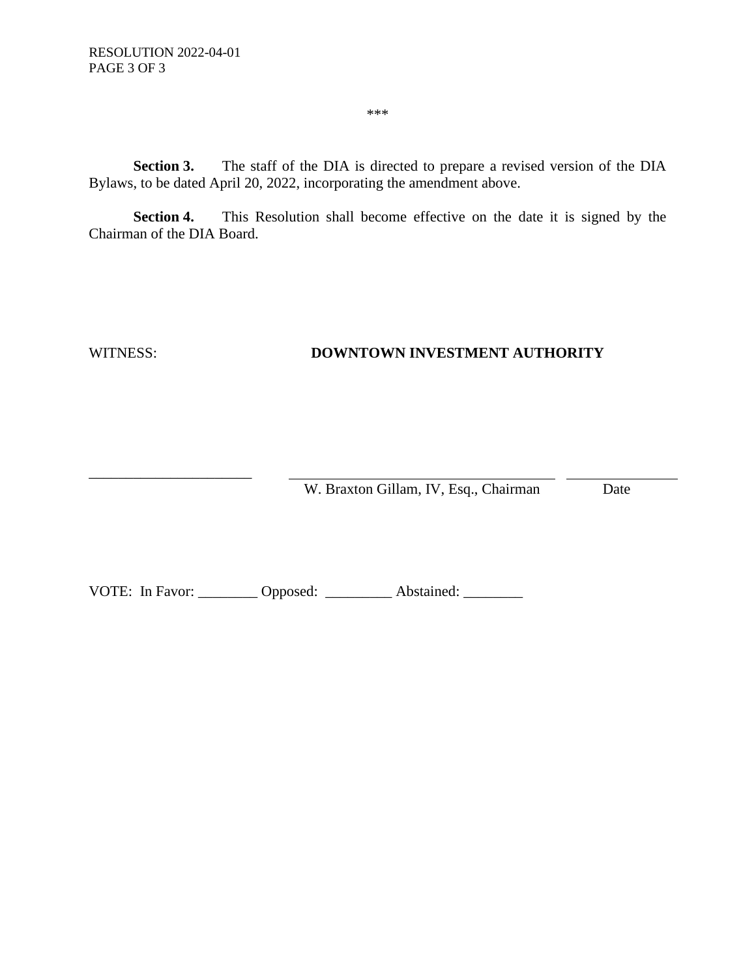**Section 3.** The staff of the DIA is directed to prepare a revised version of the DIA Bylaws, to be dated April 20, 2022, incorporating the amendment above.

**Section 4.** This Resolution shall become effective on the date it is signed by the Chairman of the DIA Board.

\_\_\_\_\_\_\_\_\_\_\_\_\_\_\_\_\_\_\_\_\_\_

### WITNESS: **DOWNTOWN INVESTMENT AUTHORITY**

W. Braxton Gillam, IV, Esq., Chairman Date

VOTE: In Favor: \_\_\_\_\_\_\_\_ Opposed: \_\_\_\_\_\_\_\_\_ Abstained: \_\_\_\_\_\_\_\_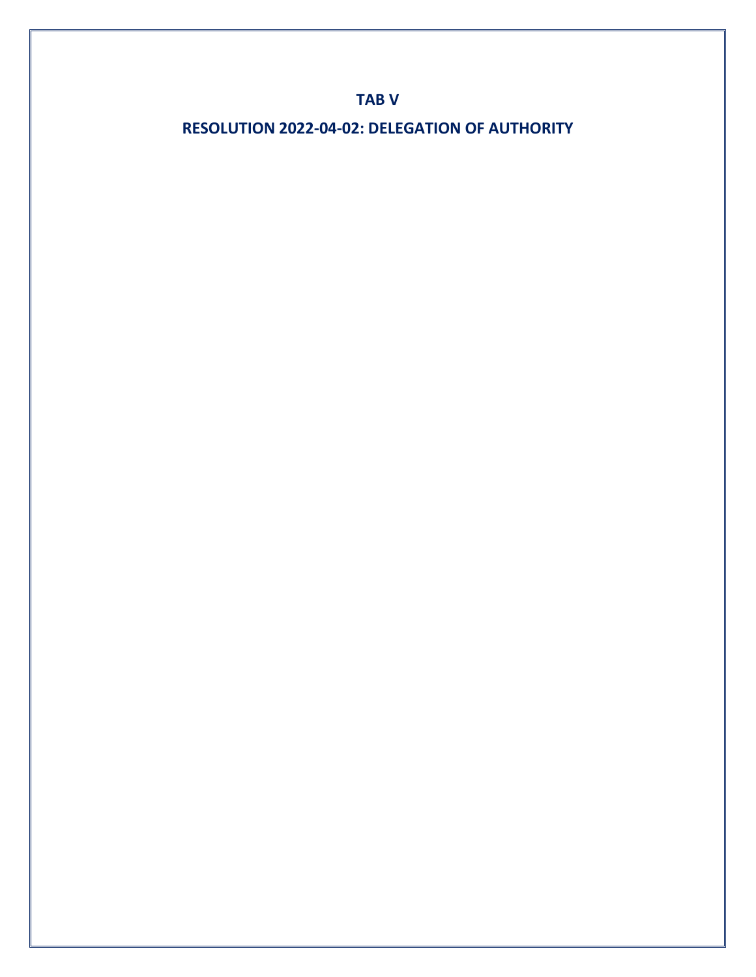## **TAB V**

**RESOLUTION 2022-04-02: DELEGATION OF AUTHORITY**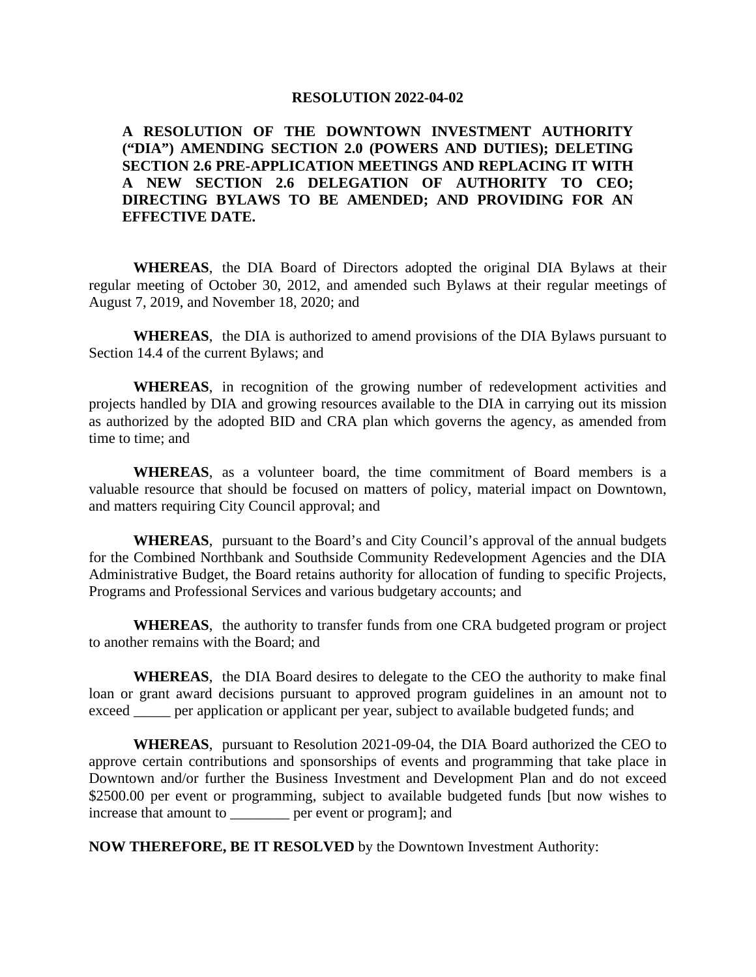#### **RESOLUTION 2022-04-02**

### **A RESOLUTION OF THE DOWNTOWN INVESTMENT AUTHORITY ("DIA") AMENDING SECTION 2.0 (POWERS AND DUTIES); DELETING SECTION 2.6 PRE-APPLICATION MEETINGS AND REPLACING IT WITH A NEW SECTION 2.6 DELEGATION OF AUTHORITY TO CEO; DIRECTING BYLAWS TO BE AMENDED; AND PROVIDING FOR AN EFFECTIVE DATE.**

**WHEREAS**, the DIA Board of Directors adopted the original DIA Bylaws at their regular meeting of October 30, 2012, and amended such Bylaws at their regular meetings of August 7, 2019, and November 18, 2020; and

**WHEREAS**, the DIA is authorized to amend provisions of the DIA Bylaws pursuant to Section 14.4 of the current Bylaws; and

**WHEREAS**, in recognition of the growing number of redevelopment activities and projects handled by DIA and growing resources available to the DIA in carrying out its mission as authorized by the adopted BID and CRA plan which governs the agency, as amended from time to time; and

**WHEREAS**, as a volunteer board, the time commitment of Board members is a valuable resource that should be focused on matters of policy, material impact on Downtown, and matters requiring City Council approval; and

**WHEREAS**, pursuant to the Board's and City Council's approval of the annual budgets for the Combined Northbank and Southside Community Redevelopment Agencies and the DIA Administrative Budget, the Board retains authority for allocation of funding to specific Projects, Programs and Professional Services and various budgetary accounts; and

**WHEREAS**, the authority to transfer funds from one CRA budgeted program or project to another remains with the Board; and

**WHEREAS**, the DIA Board desires to delegate to the CEO the authority to make final loan or grant award decisions pursuant to approved program guidelines in an amount not to exceed <u>exceed</u> per application or applicant per year, subject to available budgeted funds; and

**WHEREAS**, pursuant to Resolution 2021-09-04, the DIA Board authorized the CEO to approve certain contributions and sponsorships of events and programming that take place in Downtown and/or further the Business Investment and Development Plan and do not exceed \$2500.00 per event or programming, subject to available budgeted funds [but now wishes to increase that amount to \_\_\_\_\_\_\_\_ per event or program]; and

**NOW THEREFORE, BE IT RESOLVED** by the Downtown Investment Authority: